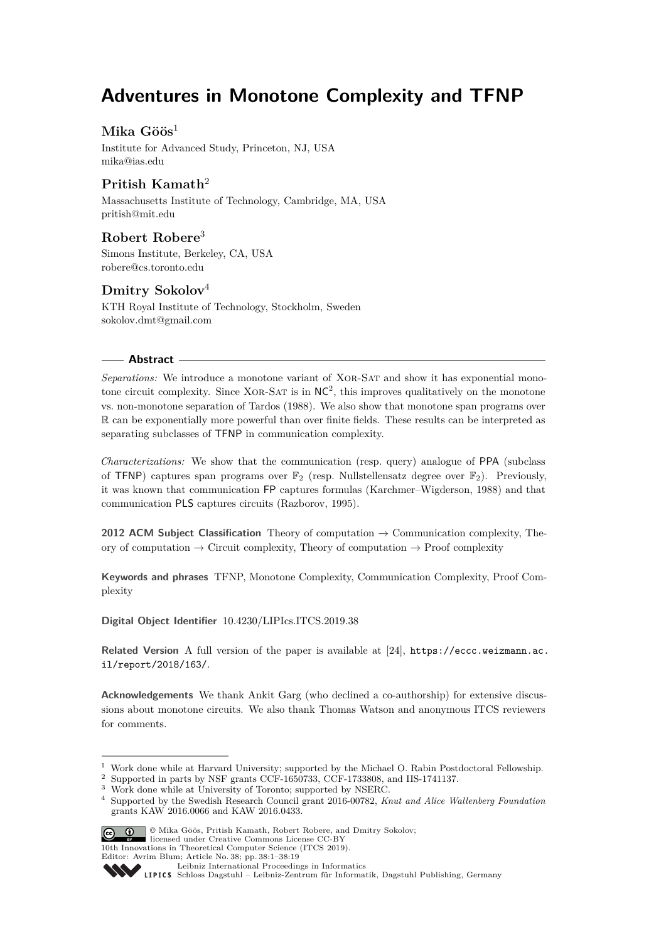# **Adventures in Monotone Complexity and TFNP**

## **Mika Göös**<sup>1</sup>

Institute for Advanced Study, Princeton, NJ, USA [mika@ias.edu](mailto:mika@ias.edu)

## **Pritish Kamath**<sup>2</sup>

Massachusetts Institute of Technology, Cambridge, MA, USA [pritish@mit.edu](mailto:pritish@mit.edu)

## **Robert Robere**<sup>3</sup>

Simons Institute, Berkeley, CA, USA [robere@cs.toronto.edu](mailto:robere@cs.toronto.edu)

## **Dmitry Sokolov**<sup>4</sup>

KTH Royal Institute of Technology, Stockholm, Sweden [sokolov.dmt@gmail.com](mailto:sokolov.dmt@gmail.com)

### **Abstract**

*Separations:* We introduce a monotone variant of Xor-Sat and show it has exponential monotone circuit complexity. Since XOR-SAT is in  $NC^2$ , this improves qualitatively on the monotone vs. non-monotone separation of Tardos (1988). We also show that monotone span programs over R can be exponentially more powerful than over finite fields. These results can be interpreted as separating subclasses of TFNP in communication complexity.

*Characterizations:* We show that the communication (resp. query) analogue of PPA (subclass of TFNP) captures span programs over  $\mathbb{F}_2$  (resp. Nullstellensatz degree over  $\mathbb{F}_2$ ). Previously, it was known that communication FP captures formulas (Karchmer–Wigderson, 1988) and that communication PLS captures circuits (Razborov, 1995).

**2012 ACM Subject Classification** Theory of computation → Communication complexity, Theory of computation  $\rightarrow$  Circuit complexity, Theory of computation  $\rightarrow$  Proof complexity

**Keywords and phrases** TFNP, Monotone Complexity, Communication Complexity, Proof Complexity

**Digital Object Identifier** [10.4230/LIPIcs.ITCS.2019.38](https://doi.org/10.4230/LIPIcs.ITCS.2019.38)

**Related Version** A full version of the paper is available at [\[24\]](#page-15-0), [https://eccc.weizmann.ac.](https://eccc.weizmann.ac.il/report/2018/163/) [il/report/2018/163/](https://eccc.weizmann.ac.il/report/2018/163/).

**Acknowledgements** We thank Ankit Garg (who declined a co-authorship) for extensive discussions about monotone circuits. We also thank Thomas Watson and anonymous ITCS reviewers for comments.

<sup>4</sup> Supported by the Swedish Research Council grant 2016-00782, *Knut and Alice Wallenberg Foundation* grants KAW 2016.0066 and KAW 2016.0433.



<sup>©</sup> Mika Göös, Pritish Kamath, Robert Robere, and Dmitry Sokolov; licensed under Creative Commons License CC-BY

<sup>1</sup> Work done while at Harvard University; supported by the Michael O. Rabin Postdoctoral Fellowship.

 $^2\,$  Supported in parts by NSF grants CCF-1650733, CCF-1733808, and IIS-1741137.

<sup>&</sup>lt;sup>3</sup> Work done while at University of Toronto; supported by NSERC.

<sup>10</sup>th Innovations in Theoretical Computer Science (ITCS 2019).

Editor: Avrim Blum; Article No. 38; pp. 38:1–38[:19](#page-18-0)

[Leibniz International Proceedings in Informatics](http://www.dagstuhl.de/lipics/)

[Schloss Dagstuhl – Leibniz-Zentrum für Informatik, Dagstuhl Publishing, Germany](http://www.dagstuhl.de)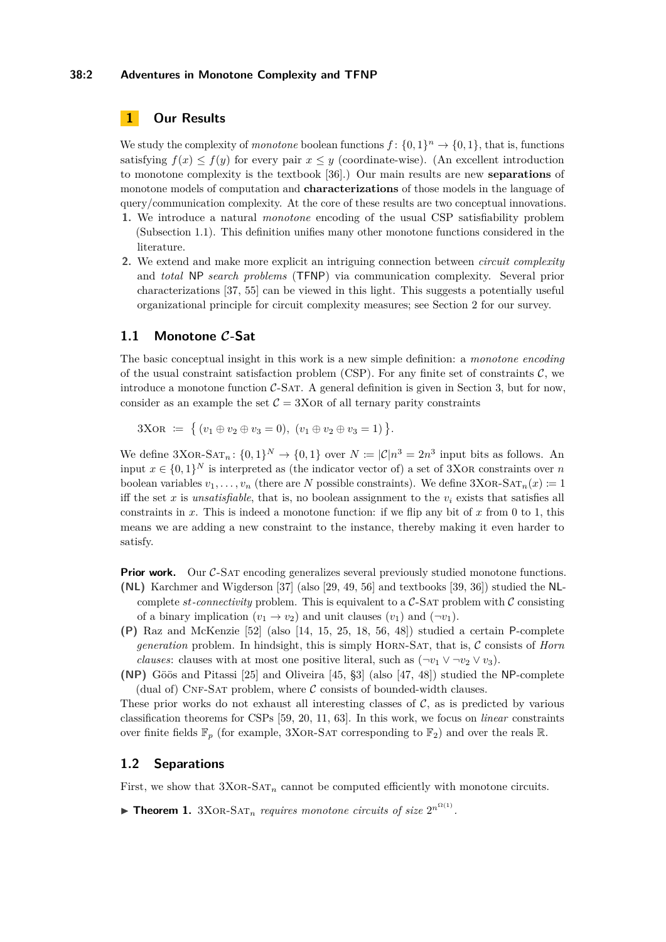#### **38:2 Adventures in Monotone Complexity and TFNP**

## <span id="page-1-2"></span>**1 Our Results**

We study the complexity of *monotone* boolean functions  $f: \{0,1\}^n \to \{0,1\}$ , that is, functions satisfying  $f(x) \leq f(y)$  for every pair  $x \leq y$  (coordinate-wise). (An excellent introduction to monotone complexity is the textbook [\[36\]](#page-16-0).) Our main results are new **separations** of monotone models of computation and **characterizations** of those models in the language of query/communication complexity. At the core of these results are two conceptual innovations.

- **1.** We introduce a natural *monotone* encoding of the usual CSP satisfiability problem (Subsection [1.1\)](#page-1-0). This definition unifies many other monotone functions considered in the literature.
- **2.** We extend and make more explicit an intriguing connection between *circuit complexity* and *total* NP *search problems* (TFNP) via communication complexity. Several prior characterizations [\[37,](#page-16-1) [55\]](#page-17-0) can be viewed in this light. This suggests a potentially useful organizational principle for circuit complexity measures; see Section [2](#page-5-0) for our survey.

## <span id="page-1-0"></span>**1.1 Monotone C-Sat**

The basic conceptual insight in this work is a new simple definition: a *monotone encoding* of the usual constraint satisfaction problem (CSP). For any finite set of constraints  $\mathcal{C}$ , we introduce a monotone function  $C$ -SAT. A general definition is given in Section [3,](#page-7-0) but for now, consider as an example the set  $C = 3XOR$  of all ternary parity constraints

 $3XOR \coloneqq \{ (v_1 \oplus v_2 \oplus v_3 = 0), (v_1 \oplus v_2 \oplus v_3 = 1) \}.$ 

We define  $3XOR-SAT_n: \{0,1\}^N \to \{0,1\}$  over  $N \coloneqq |\mathcal{C}| n^3 = 2n^3$  input bits as follows. An input  $x \in \{0,1\}^N$  is interpreted as (the indicator vector of) a set of 3XOR constraints over *n* boolean variables  $v_1, \ldots, v_n$  (there are *N* possible constraints). We define  $3XOR-SAT_n(x) := 1$ iff the set x is *unsatisfiable*, that is, no boolean assignment to the  $v_i$  exists that satisfies all constraints in *x*. This is indeed a monotone function: if we flip any bit of *x* from 0 to 1, this means we are adding a new constraint to the instance, thereby making it even harder to satisfy.

**Prior work.** Our C-SAT encoding generalizes several previously studied monotone functions. **(NL)** Karchmer and Wigderson [\[37\]](#page-16-1) (also [\[29,](#page-15-1) [49,](#page-16-2) [56\]](#page-17-1) and textbooks [\[39,](#page-16-3) [36\]](#page-16-0)) studied the NLcomplete *st-connectivity* problem. This is equivalent to a  $\mathcal{C}\text{-SAT}$  problem with  $\mathcal C$  consisting of a binary implication  $(v_1 \rightarrow v_2)$  and unit clauses  $(v_1)$  and  $(\neg v_1)$ .

- **(P)** Raz and McKenzie [\[52\]](#page-16-4) (also [\[14,](#page-14-0) [15,](#page-14-1) [25,](#page-15-2) [18,](#page-14-2) [56,](#page-17-1) [48\]](#page-16-5)) studied a certain P-complete *generation* problem. In hindsight, this is simply Horn-Sat, that is, C consists of *Horn clauses*: clauses with at most one positive literal, such as  $(\neg v_1 \lor \neg v_2 \lor v_3)$ .
- **(NP)** Göös and Pitassi [\[25\]](#page-15-2) and Oliveira [\[45,](#page-16-6) §3] (also [\[47,](#page-16-7) [48\]](#page-16-5)) studied the NP-complete (dual of) CNF-SAT problem, where  $\mathcal C$  consists of bounded-width clauses.

These prior works do not exhaust all interesting classes of  $\mathcal{C}$ , as is predicted by various classification theorems for CSPs [\[59,](#page-17-2) [20,](#page-14-3) [11,](#page-14-4) [63\]](#page-17-3). In this work, we focus on *linear* constraints over finite fields  $\mathbb{F}_p$  (for example, 3XOR-SAT corresponding to  $\mathbb{F}_2$ ) and over the reals R.

## **1.2 Separations**

First, we show that  $3XOR-SAT_n$  cannot be computed efficiently with monotone circuits.

<span id="page-1-1"></span>**Fheorem 1.** 3XOR-SAT<sub>n</sub> requires monotone circuits of size  $2^{n^{\Omega(1)}}$ .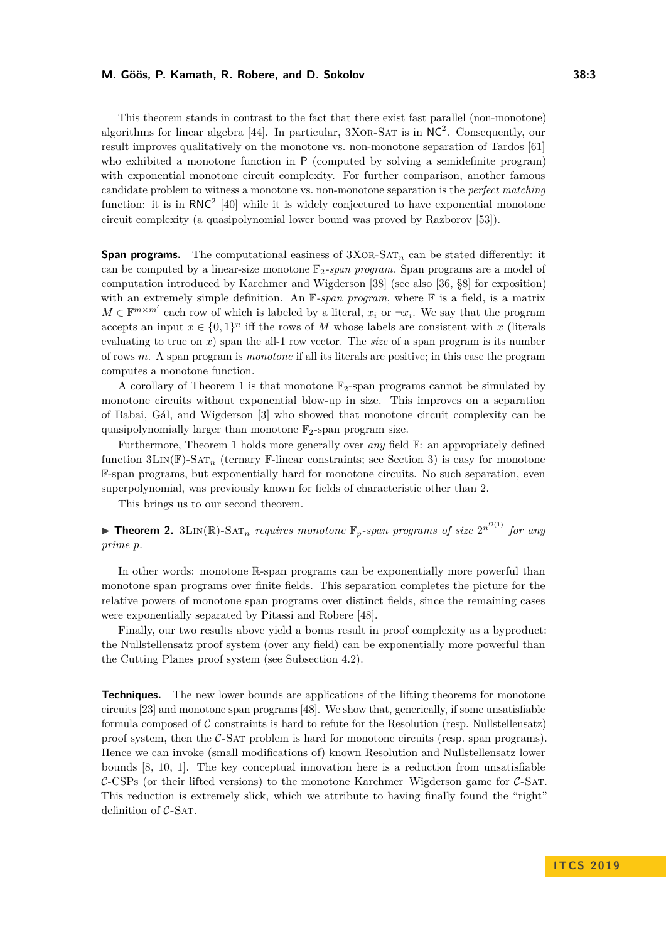This theorem stands in contrast to the fact that there exist fast parallel (non-monotone) algorithms for linear algebra [\[44\]](#page-16-8). In particular,  $3XOR-SAT$  is in  $NC^2$ . Consequently, our result improves qualitatively on the monotone vs. non-monotone separation of Tardos [\[61\]](#page-17-4) who exhibited a monotone function in P (computed by solving a semidefinite program) with exponential monotone circuit complexity. For further comparison, another famous candidate problem to witness a monotone vs. non-monotone separation is the *perfect matching* function: it is in  $RNC^2$  [\[40\]](#page-16-9) while it is widely conjectured to have exponential monotone circuit complexity (a quasipolynomial lower bound was proved by Razborov [\[53\]](#page-17-5)).

**Span programs.** The computational easiness of  $3XOR-SAT_n$  can be stated differently: it can be computed by a linear-size monotone  $\mathbb{F}_2$ -span program. Span programs are a model of computation introduced by Karchmer and Wigderson [\[38\]](#page-16-10) (see also [\[36,](#page-16-0) §8] for exposition) with an extremely simple definition. An F*-span program*, where F is a field, is a matrix  $M \in \mathbb{F}^{m \times m'}$  each row of which is labeled by a literal,  $x_i$  or  $\neg x_i$ . We say that the program accepts an input  $x \in \{0,1\}^n$  iff the rows of *M* whose labels are consistent with *x* (literals evaluating to true on *x*) span the all-1 row vector. The *size* of a span program is its number of rows *m*. A span program is *monotone* if all its literals are positive; in this case the program computes a monotone function.

A corollary of Theorem [1](#page-1-1) is that monotone  $\mathbb{F}_2$ -span programs cannot be simulated by monotone circuits without exponential blow-up in size. This improves on a separation of Babai, Gál, and Wigderson [\[3\]](#page-13-0) who showed that monotone circuit complexity can be quasipolynomially larger than monotone  $\mathbb{F}_2$ -span program size.

Furthermore, Theorem [1](#page-1-1) holds more generally over *any* field F: an appropriately defined function  $3\text{Lin}(\mathbb{F})$ -SAT<sub>n</sub> (ternary F-linear constraints; see Section [3\)](#page-7-0) is easy for monotone F-span programs, but exponentially hard for monotone circuits. No such separation, even superpolynomial, was previously known for fields of characteristic other than 2.

This brings us to our second theorem.

<span id="page-2-0"></span>**Findment 2.** 3LIN(R)-SAT<sub>n</sub> requires monotone  $\mathbb{F}_p$ -span programs of size  $2^{n^{\Omega(1)}}$  for any *prime p.*

In other words: monotone R-span programs can be exponentially more powerful than monotone span programs over finite fields. This separation completes the picture for the relative powers of monotone span programs over distinct fields, since the remaining cases were exponentially separated by Pitassi and Robere [\[48\]](#page-16-5).

Finally, our two results above yield a bonus result in proof complexity as a byproduct: the Nullstellensatz proof system (over any field) can be exponentially more powerful than the Cutting Planes proof system (see Subsection [4.2\)](#page-10-0).

**Techniques.** The new lower bounds are applications of the lifting theorems for monotone circuits [\[23\]](#page-15-3) and monotone span programs [\[48\]](#page-16-5). We show that, generically, if some unsatisfiable formula composed of  $\mathcal C$  constraints is hard to refute for the Resolution (resp. Nullstellensatz) proof system, then the C-Sat problem is hard for monotone circuits (resp. span programs). Hence we can invoke (small modifications of) known Resolution and Nullstellensatz lower bounds [\[8,](#page-14-5) [10,](#page-14-6) [1\]](#page-13-1). The key conceptual innovation here is a reduction from unsatisfiable  $C$ -CSPs (or their lifted versions) to the monotone Karchmer–Wigderson game for  $C$ -SAT. This reduction is extremely slick, which we attribute to having finally found the "right" definition of  $C$ -SAT.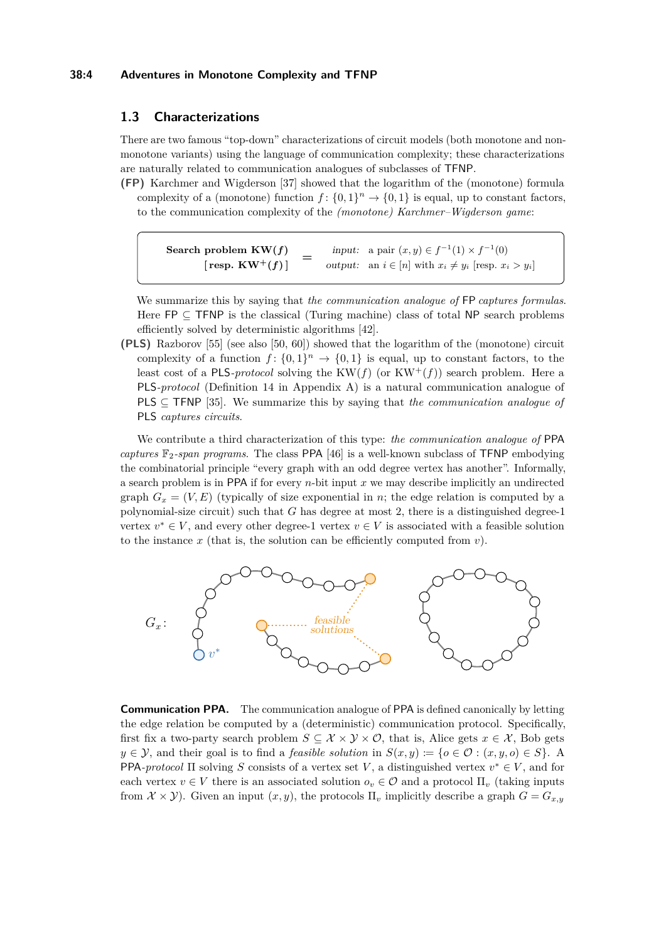#### **38:4 Adventures in Monotone Complexity and TFNP**

### **1.3 Characterizations**

There are two famous "top-down" characterizations of circuit models (both monotone and nonmonotone variants) using the language of communication complexity; these characterizations are naturally related to communication analogues of subclasses of TFNP.

**(FP)** Karchmer and Wigderson [\[37\]](#page-16-1) showed that the logarithm of the (monotone) formula complexity of a (monotone) function  $f: \{0,1\}^n \to \{0,1\}$  is equal, up to constant factors, to the communication complexity of the *(monotone) Karchmer–Wigderson game*:

**Search problem**  $KW(f)$  [resp.  $KW^+(f)$ ] input: a pair  $(x, y) \in f^{-1}(1) \times f^{-1}(0)$ *output:* **an**  $i \in [n]$  **with**  $x_i \neq y_i$  **[resp.**  $x_i > y_i$ **]** 

We summarize this by saying that *the communication analogue of* FP *captures formulas*. Here  $FP \subset TFNP$  is the classical (Turing machine) class of total NP search problems efficiently solved by deterministic algorithms [\[42\]](#page-16-11).

**(PLS)** Razborov [\[55\]](#page-17-0) (see also [\[50,](#page-16-12) [60\]](#page-17-6)) showed that the logarithm of the (monotone) circuit complexity of a function  $f: \{0,1\}^n \to \{0,1\}$  is equal, up to constant factors, to the least cost of a PLS-*protocol* solving the  $KW(f)$  (or  $KW^+(f))$  search problem. Here a PLS*-protocol* (Definition [14](#page-18-1) in Appendix [A\)](#page-17-7) is a natural communication analogue of PLS ⊆ TFNP [\[35\]](#page-16-13). We summarize this by saying that *the communication analogue of* PLS *captures circuits*.

We contribute a third characterization of this type: *the communication analogue of* PPA *captures*  $\mathbb{F}_2$ -span programs. The class PPA [\[46\]](#page-16-14) is a well-known subclass of TFNP embodying the combinatorial principle "every graph with an odd degree vertex has another". Informally, a search problem is in PPA if for every *n*-bit input *x* we may describe implicitly an undirected graph  $G_x = (V, E)$  (typically of size exponential in *n*; the edge relation is computed by a polynomial-size circuit) such that *G* has degree at most 2, there is a distinguished degree-1 vertex  $v^* \in V$ , and every other degree-1 vertex  $v \in V$  is associated with a feasible solution to the instance  $x$  (that is, the solution can be efficiently computed from  $v$ ).



**Communication PPA.** The communication analogue of PPA is defined canonically by letting the edge relation be computed by a (deterministic) communication protocol. Specifically, first fix a two-party search problem  $S \subseteq \mathcal{X} \times \mathcal{Y} \times \mathcal{O}$ , that is, Alice gets  $x \in \mathcal{X}$ , Bob gets  $y \in \mathcal{Y}$ , and their goal is to find a *feasible solution* in  $S(x, y) := \{o \in \mathcal{O} : (x, y, o) \in S\}$ . A PPA*-protocol*  $\Pi$  solving *S* consists of a vertex set *V*, a distinguished vertex  $v^* \in V$ , and for each vertex  $v \in V$  there is an associated solution  $o_v \in \mathcal{O}$  and a protocol  $\Pi_v$  (taking inputs from  $\mathcal{X} \times \mathcal{Y}$ ). Given an input  $(x, y)$ , the protocols  $\Pi_v$  implicitly describe a graph  $G = G_{x,y}$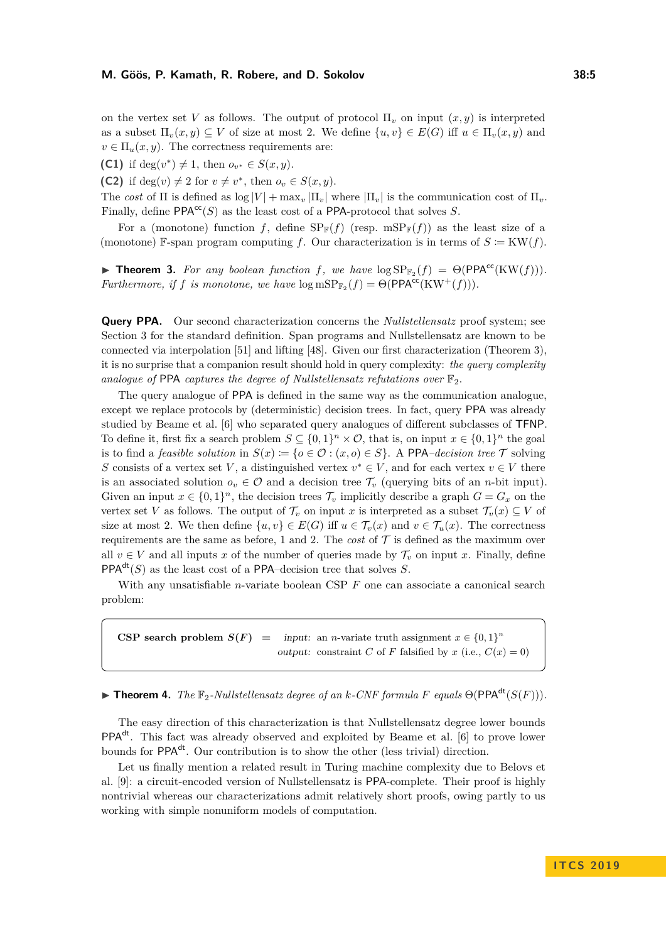on the vertex set *V* as follows. The output of protocol  $\Pi$ <sub>*v*</sub> on input  $(x, y)$  is interpreted as a subset  $\Pi_v(x, y) \subseteq V$  of size at most 2. We define  $\{u, v\} \in E(G)$  iff  $u \in \Pi_v(x, y)$  and  $v \in \Pi_u(x, y)$ . The correctness requirements are:

<span id="page-4-1"></span>**(C1)** if deg(*v*<sup>\*</sup>)  $\neq$  1, then  $o_{v^*} \in S(x, y)$ .

<span id="page-4-2"></span>**(C2)** if deg $(v) \neq 2$  for  $v \neq v^*$ , then  $o_v \in S(x, y)$ .

The *cost* of  $\Pi$  is defined as  $\log |V| + \max_{v} |\Pi_{v}|$  where  $|\Pi_{v}|$  is the communication cost of  $\Pi_{v}$ . Finally, define  $PPA^{cc}(S)$  as the least cost of a PPA-protocol that solves *S*.

For a (monotone) function *f*, define  $SP_{\mathbb{F}}(f)$  (resp. mSP<sub>F</sub>(*f*)) as the least size of a (monotone) F-span program computing *f*. Our characterization is in terms of  $S \coloneqq \text{KW}(f)$ .

<span id="page-4-0"></span>**Fineorem 3.** For any boolean function f, we have  $\log SP_{\mathbb{F}_2}(f) = \Theta(PPA^{cc}(KW(f))).$ *Furthermore, if f is monotone, we have*  $\log mSP_{\mathbb{F}_2}(f) = \Theta(PPA^{cc}(KW^+(f))).$ 

**Query PPA.** Our second characterization concerns the *Nullstellensatz* proof system; see Section [3](#page-7-0) for the standard definition. Span programs and Nullstellensatz are known to be connected via interpolation [\[51\]](#page-16-15) and lifting [\[48\]](#page-16-5). Given our first characterization (Theorem [3\)](#page-4-0), it is no surprise that a companion result should hold in query complexity: *the query complexity analogue of* PPA *captures the degree of Nullstellensatz refutations over*  $\mathbb{F}_2$ .

The query analogue of PPA is defined in the same way as the communication analogue, except we replace protocols by (deterministic) decision trees. In fact, query PPA was already studied by Beame et al. [\[6\]](#page-14-7) who separated query analogues of different subclasses of TFNP. To define it, first fix a search problem  $S \subseteq \{0,1\}^n \times \mathcal{O}$ , that is, on input  $x \in \{0,1\}^n$  the goal is to find a *feasible solution* in  $S(x) := \{o \in \mathcal{O} : (x, o) \in S\}$ . A PPA*-decision tree*  $\mathcal T$  solving *S* consists of a vertex set *V*, a distinguished vertex  $v^* \in V$ , and for each vertex  $v \in V$  there is an associated solution  $o_v \in \mathcal{O}$  and a decision tree  $\mathcal{T}_v$  (querying bits of an *n*-bit input). Given an input  $x \in \{0,1\}^n$ , the decision trees  $\mathcal{T}_v$  implicitly describe a graph  $G = G_x$  on the vertex set *V* as follows. The output of  $\mathcal{T}_v$  on input *x* is interpreted as a subset  $\mathcal{T}_v(x) \subseteq V$  of size at most 2. We then define  $\{u, v\} \in E(G)$  iff  $u \in \mathcal{T}_v(x)$  and  $v \in \mathcal{T}_u(x)$ . The correctness requirements are the same as before, [1](#page-4-1) and [2.](#page-4-2) The *cost* of  $T$  is defined as the maximum over all  $v \in V$  and all inputs x of the number of queries made by  $\mathcal{T}_v$  on input x. Finally, define PPA<sup>dt</sup> $(S)$  as the least cost of a PPA–decision tree that solves *S*.

With any unsatisfiable *n*-variate boolean CSP *F* one can associate a canonical search problem:

**CSP** search problem  $S(F)$  = input: an *n*-variate truth assignment  $x \in \{0,1\}^n$ output: constraint *C* of *F* falsified by *x* (i.e.,  $C(x) = 0$ )

<span id="page-4-3"></span> $\blacktriangleright$  **Theorem 4.** *The*  $\mathbb{F}_2$ *-Nullstellensatz degree of an k-CNF formula F equals*  $\Theta(\text{PPA}^{\text{dt}}(S(F)))$ .

The easy direction of this characterization is that Nullstellensatz degree lower bounds PPAdt. This fact was already observed and exploited by Beame et al. [\[6\]](#page-14-7) to prove lower bounds for PPA<sup>dt</sup>. Our contribution is to show the other (less trivial) direction.

Let us finally mention a related result in Turing machine complexity due to Belovs et al. [\[9\]](#page-14-8): a circuit-encoded version of Nullstellensatz is PPA-complete. Their proof is highly nontrivial whereas our characterizations admit relatively short proofs, owing partly to us working with simple nonuniform models of computation.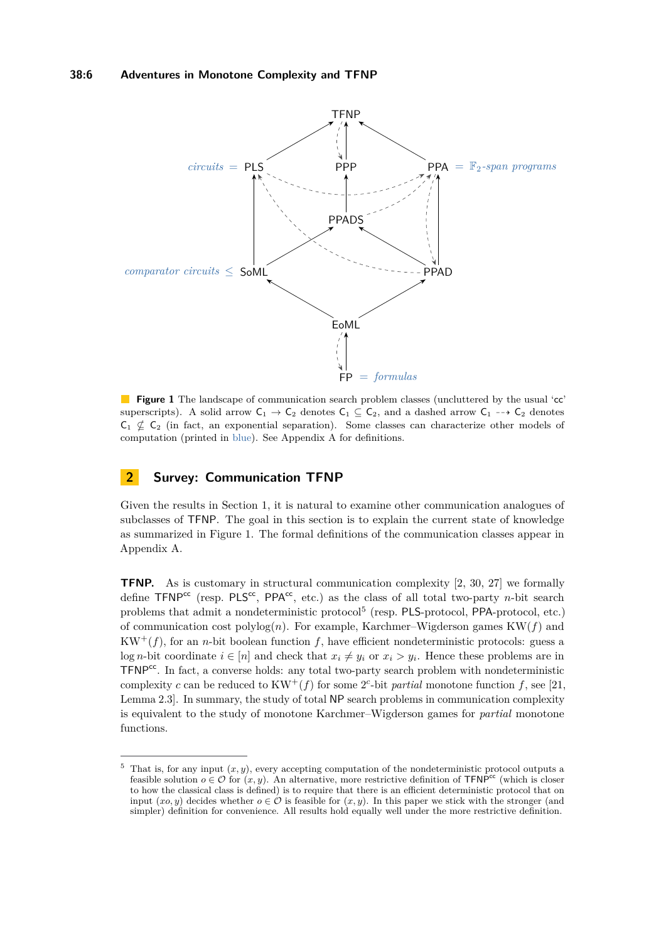#### **38:6 Adventures in Monotone Complexity and TFNP**

<span id="page-5-1"></span>

**Figure 1** The landscape of communication search problem classes (uncluttered by the usual 'cc' superscripts). A solid arrow  $C_1 \rightarrow C_2$  denotes  $C_1 \subseteq C_2$ , and a dashed arrow  $C_1 \rightarrow C_2$  denotes  $C_1 \nsubseteq C_2$  (in fact, an exponential separation). Some classes can characterize other models of computation (printed in blue). See Appendix [A](#page-17-7) for definitions.

## <span id="page-5-0"></span>**2 Survey: Communication TFNP**

Given the results in Section [1,](#page-1-2) it is natural to examine other communication analogues of subclasses of TFNP. The goal in this section is to explain the current state of knowledge as summarized in Figure [1.](#page-5-1) The formal definitions of the communication classes appear in Appendix [A.](#page-17-7)

**TFNP.** As is customary in structural communication complexity [\[2,](#page-13-2) [30,](#page-15-4) [27\]](#page-15-5) we formally define TFNP<sup>cc</sup> (resp. PLS<sup>cc</sup>, PPA<sup>cc</sup>, etc.) as the class of all total two-party *n*-bit search problems that admit a nondeterministic protocol<sup>[5](#page-5-2)</sup> (resp. PLS-protocol, PPA-protocol, etc.) of communication cost  $\text{polylog}(n)$ . For example, Karchmer–Wigderson games  $KW(f)$  and  $KW^+(f)$ , for an *n*-bit boolean function *f*, have efficient nondeterministic protocols: guess a log *n*-bit coordinate  $i \in [n]$  and check that  $x_i \neq y_i$  or  $x_i > y_i$ . Hence these problems are in  $TFNP<sup>cc</sup>$ . In fact, a converse holds: any total two-party search problem with nondeterministic complexity *c* can be reduced to  $KW^+(f)$  for some 2<sup>*c*</sup>-bit *partial* monotone function *f*, see [\[21,](#page-15-6) Lemma 2.3]. In summary, the study of total NP search problems in communication complexity is equivalent to the study of monotone Karchmer–Wigderson games for *partial* monotone functions.

<span id="page-5-2"></span><sup>&</sup>lt;sup>5</sup> That is, for any input  $(x, y)$ , every accepting computation of the nondeterministic protocol outputs a feasible solution  $o \in \mathcal{O}$  for  $(x, y)$ . An alternative, more restrictive definition of TFNP<sup>cc</sup> (which is closer to how the classical class is defined) is to require that there is an efficient deterministic protocol that on input  $(xo, y)$  decides whether  $o \in \mathcal{O}$  is feasible for  $(x, y)$ . In this paper we stick with the stronger (and simpler) definition for convenience. All results hold equally well under the more restrictive definition.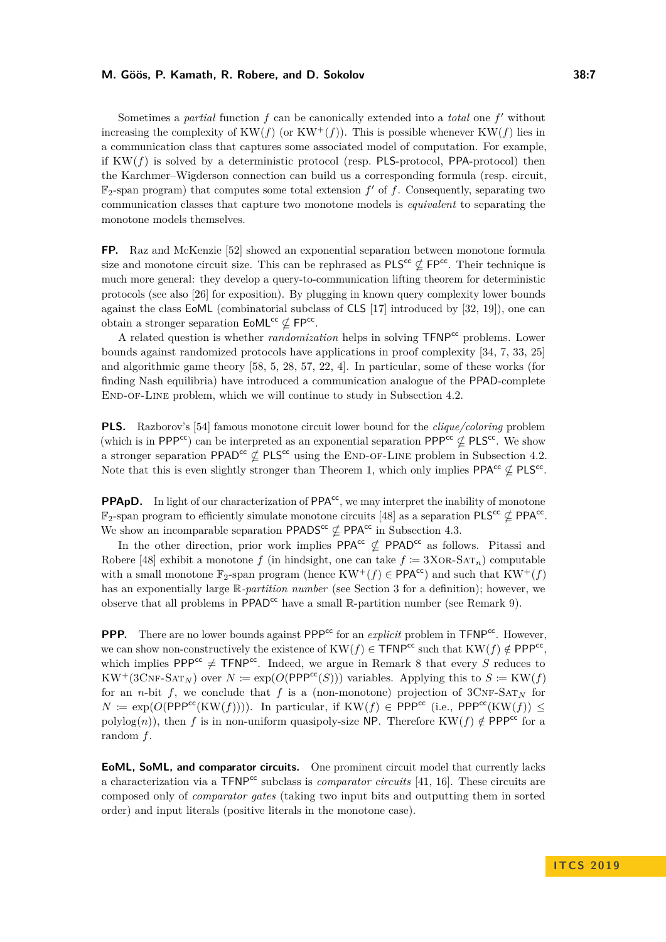Sometimes a *partial* function  $f$  can be canonically extended into a *total* one  $f'$  without increasing the complexity of  $KW(f)$  (or  $KW^+(f))$ ). This is possible whenever  $KW(f)$  lies in a communication class that captures some associated model of computation. For example, if  $KW(f)$  is solved by a deterministic protocol (resp. PLS-protocol, PPA-protocol) then the Karchmer–Wigderson connection can build us a corresponding formula (resp. circuit,  $\mathbb{F}_2$ -span program) that computes some total extension  $f'$  of  $f$ . Consequently, separating two communication classes that capture two monotone models is *equivalent* to separating the monotone models themselves.

**FP.** Raz and McKenzie [\[52\]](#page-16-4) showed an exponential separation between monotone formula size and monotone circuit size. This can be rephrased as  $PLS^{cc} \not\subset FP^{cc}$ . Their technique is much more general: they develop a query-to-communication lifting theorem for deterministic protocols (see also [\[26\]](#page-15-7) for exposition). By plugging in known query complexity lower bounds against the class EoML (combinatorial subclass of CLS [\[17\]](#page-14-9) introduced by [\[32,](#page-15-8) [19\]](#page-14-10)), one can obtain a stronger separation  $\mathsf{EoML}^{\mathsf{cc}} \nsubseteq \mathsf{FP}^{\mathsf{cc}}$ .

A related question is whether *randomization* helps in solving TFNPcc problems. Lower bounds against randomized protocols have applications in proof complexity [\[34,](#page-15-9) [7,](#page-14-11) [33,](#page-15-10) [25\]](#page-15-2) and algorithmic game theory [\[58,](#page-17-8) [5,](#page-14-12) [28,](#page-15-11) [57,](#page-17-9) [22,](#page-15-12) [4\]](#page-14-13). In particular, some of these works (for finding Nash equilibria) have introduced a communication analogue of the PPAD-complete END-OF-LINE problem, which we will continue to study in Subsection [4.2.](#page-10-0)

**PLS.** Razborov's [\[54\]](#page-17-10) famous monotone circuit lower bound for the *clique/coloring* problem (which is in PPP<sup>cc</sup>) can be interpreted as an exponential separation PPP<sup>cc</sup>  $\nsubseteq$  PLS<sup>cc</sup>. We show a stronger separation PPAD<sup>cc</sup>  $\nsubseteq$  PLS<sup>cc</sup> using the END-OF-LINE problem in Subsection [4.2.](#page-10-0) Note that this is even slightly stronger than Theorem [1,](#page-1-1) which only implies  $PPA^{cc} \nsubseteq PLS^{cc}$ .

**PPApD.** In light of our characterization of  $PPA<sup>cc</sup>$ , we may interpret the inability of monotone  $\mathbb{F}_2$ -span program to efficiently simulate monotone circuits [\[48\]](#page-16-5) as a separation PLS<sup>cc</sup>  $\nsubseteq$  PPA<sup>cc</sup>. We show an incomparable separation PPADS<sup>cc</sup>  $\nsubseteq$  PPA<sup>cc</sup> in Subsection [4.3.](#page-11-0)

In the other direction, prior work implies PPA<sup>cc</sup>  $\not\subset$  PPAD<sup>cc</sup> as follows. Pitassi and Robere [\[48\]](#page-16-5) exhibit a monotone *f* (in hindsight, one can take  $f \coloneqq 3XOR-SAT_n$ ) computable with a small monotone  $\mathbb{F}_2$ -span program (hence  $KW^+(f) \in \mathsf{PPA}^{cc}$ ) and such that  $KW^+(f)$ has an exponentially large R-*partition number* (see Section [3](#page-7-0) for a definition); however, we observe that all problems in  $\mathsf{PPAD}^{cc}$  have a small  $\mathbb{R}\text{-partition number}$  (see Remark [9\)](#page-11-1).

**PPP.** There are no lower bounds against  $PPP<sup>cc</sup>$  for an *explicit* problem in  $TFNP<sup>cc</sup>$ . However, we can show non-constructively the existence of  $KW(f) \in \mathsf{TFNP}^{\mathsf{cc}}$  such that  $KW(f) \notin \mathsf{PPP}^{\mathsf{cc}},$ which implies PPP<sup>cc</sup>  $\neq$  TFNP<sup>cc</sup>. Indeed, we argue in Remark [8](#page-9-0) that every *S* reduces to  $KW^+(3\text{CNF-SAT}_N)$  over  $N := \exp(O(\text{PPP}^{cc}(S)))$  variables. Applying this to  $S := KW(f)$ for an *n*-bit *f*, we conclude that *f* is a (non-monotone) projection of  $3CNF-SAT_N$  for  $N \coloneqq \exp(O(\text{PPP}^{cc}(KW(f))))$ . In particular, if  $KW(f) \in \text{PPP}^{cc}$  (i.e.,  $\text{PPP}^{cc}(KW(f))$ ) < polylog(*n*)), then *f* is in non-uniform quasipoly-size NP. Therefore KW(*f*)  $\notin$  PPP<sup>cc</sup> for a random *f*.

**EoML, SoML, and comparator circuits.** One prominent circuit model that currently lacks a characterization via a TFNP<sup>cc</sup> subclass is *comparator circuits* [\[41,](#page-16-16) [16\]](#page-14-14). These circuits are composed only of *comparator gates* (taking two input bits and outputting them in sorted order) and input literals (positive literals in the monotone case).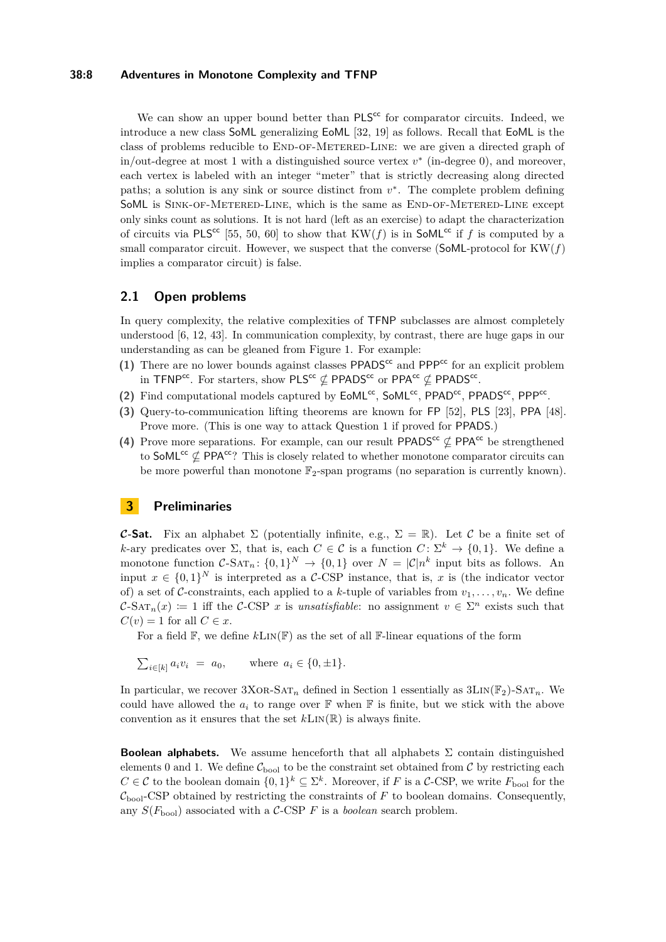#### **38:8 Adventures in Monotone Complexity and TFNP**

We can show an upper bound better than  $PLS^{cc}$  for comparator circuits. Indeed, we introduce a new class SoML generalizing EoML [\[32,](#page-15-8) [19\]](#page-14-10) as follows. Recall that EoML is the class of problems reducible to END-OF-METERED-LINE: we are given a directed graph of in/out-degree at most 1 with a distinguished source vertex *v* ∗ (in-degree 0), and moreover, each vertex is labeled with an integer "meter" that is strictly decreasing along directed paths; a solution is any sink or source distinct from  $v^*$ . The complete problem defining SoML is SINK-OF-METERED-LINE, which is the same as END-OF-METERED-LINE except only sinks count as solutions. It is not hard (left as an exercise) to adapt the characterization of circuits via PLS<sup>cc</sup> [\[55,](#page-17-0) [50,](#page-16-12) [60\]](#page-17-6) to show that  $KW(f)$  is in SoML<sup>cc</sup> if f is computed by a small comparator circuit. However, we suspect that the converse (SoML-protocol for  $KW(f)$ ) implies a comparator circuit) is false.

### **2.1 Open problems**

In query complexity, the relative complexities of TFNP subclasses are almost completely understood [\[6,](#page-14-7) [12,](#page-14-15) [43\]](#page-16-17). In communication complexity, by contrast, there are huge gaps in our understanding as can be gleaned from Figure [1.](#page-5-1) For example:

- <span id="page-7-1"></span>(1) There are no lower bounds against classes  $PPADS<sup>cc</sup>$  and  $PPP<sup>cc</sup>$  for an explicit problem in TFNP<sup>cc</sup>. For starters, show PLS<sup>cc</sup>  $\nsubseteq$  PPADS<sup>cc</sup> or PPA<sup>cc</sup>  $\nsubseteq$  PPADS<sup>cc</sup>.
- (2) Find computational models captured by  $EoML^{cc}$ , SoML<sup>cc</sup>, PPAD<sup>cc</sup>, PPADS<sup>cc</sup>, PPP<sup>cc</sup>.
- **(3)** Query-to-communication lifting theorems are known for FP [\[52\]](#page-16-4), PLS [\[23\]](#page-15-3), PPA [\[48\]](#page-16-5). Prove more. (This is one way to attack Question [1](#page-7-1) if proved for PPADS.)
- (4) Prove more separations. For example, can our result PPADS<sup>cc</sup>  $\not\subset$  PPA<sup>cc</sup> be strengthened to SoML<sup>cc</sup>  $\nsubseteq$  PPA<sup>cc</sup>? This is closely related to whether monotone comparator circuits can be more powerful than monotone  $\mathbb{F}_2$ -span programs (no separation is currently known).

## <span id="page-7-0"></span>**3 Preliminaries**

**C-Sat.** Fix an alphabet  $\Sigma$  (potentially infinite, e.g.,  $\Sigma = \mathbb{R}$ ). Let C be a finite set of *k*-ary predicates over  $\Sigma$ , that is, each  $C \in \mathcal{C}$  is a function  $C \colon \Sigma^k \to \{0,1\}$ . We define a monotone function  $C$ -SAT<sub>n</sub>:  $\{0,1\}^N \to \{0,1\}$  over  $N = |\mathcal{C}|n^k$  input bits as follows. An input  $x \in \{0,1\}^N$  is interpreted as a C-CSP instance, that is, x is (the indicator vector of) a set of C-constraints, each applied to a k-tuple of variables from  $v_1, \ldots, v_n$ . We define  $\mathcal{C}\text{-}\mathrm{SAT}_n(x) := 1$  iff the  $\mathcal{C}\text{-}\mathrm{CSP}$  *x* is *unsatisfiable*: no assignment  $v \in \Sigma^n$  exists such that  $C(v) = 1$  for all  $C \in \mathcal{X}$ .

For a field  $\mathbb{F}$ , we define  $k\text{Lin}(\mathbb{F})$  as the set of all  $\mathbb{F}\text{-linear}$  equations of the form

$$
\sum_{i \in [k]} a_i v_i = a_0, \quad \text{where } a_i \in \{0, \pm 1\}.
$$

In particular, we recover  $3XOR-SAT_n$  defined in Section [1](#page-1-2) essentially as  $3LIN(\mathbb{F}_2)-SAT_n$ . We could have allowed the  $a_i$  to range over  $\mathbb F$  when  $\mathbb F$  is finite, but we stick with the above convention as it ensures that the set  $k\text{Lin}(\mathbb{R})$  is always finite.

**Boolean alphabets.** We assume henceforth that all alphabets  $\Sigma$  contain distinguished elements 0 and 1. We define  $\mathcal{C}_{\text{bool}}$  to be the constraint set obtained from  $\mathcal{C}$  by restricting each *C* ∈ C to the boolean domain  $\{0,1\}^k$  ⊆  $\Sigma^k$ . Moreover, if *F* is a C-CSP, we write  $F_{\text{bool}}$  for the  $\mathcal{C}_{\text{bool}}$ -CSP obtained by restricting the constraints of  $F$  to boolean domains. Consequently, any  $S(F_{\text{bool}})$  associated with a C-CSP *F* is a *boolean* search problem.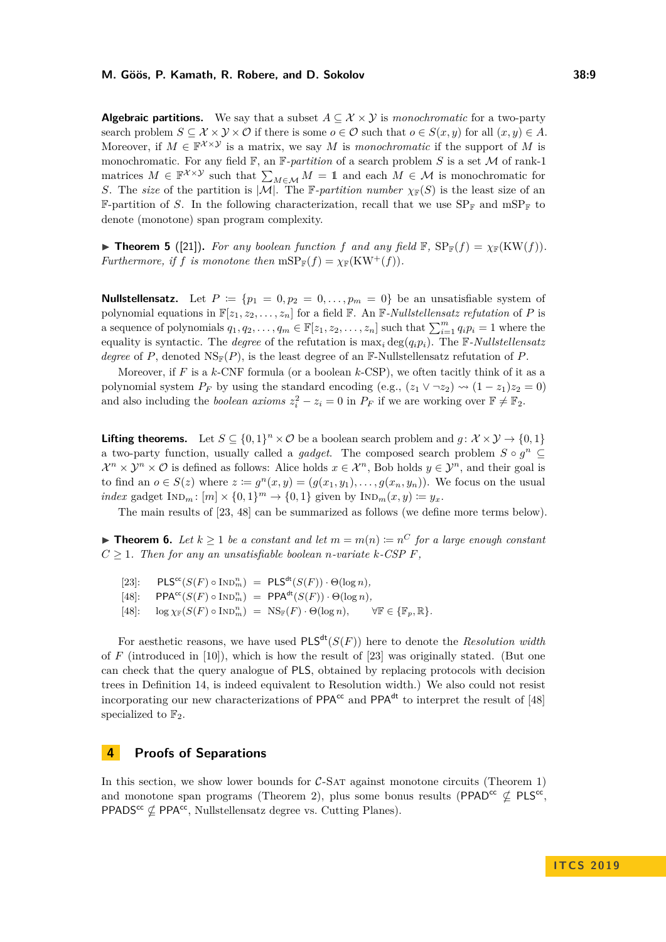**Algebraic partitions.** We say that a subset  $A \subseteq \mathcal{X} \times \mathcal{Y}$  is *monochromatic* for a two-party search problem  $S \subseteq \mathcal{X} \times \mathcal{Y} \times \mathcal{O}$  if there is some  $o \in \mathcal{O}$  such that  $o \in S(x, y)$  for all  $(x, y) \in A$ . Moreover, if  $M \in \mathbb{F}^{\chi \times \mathcal{Y}}$  is a matrix, we say M is *monochromatic* if the support of M is monochromatic. For any field F, an F*-partition* of a search problem *S* is a set M of rank-1 matrices  $M \in \mathbb{F}^{\chi \times \chi}$  such that  $\sum_{M \in \mathcal{M}} M = 1$  and each  $M \in \mathcal{M}$  is monochromatic for *S*. The *size* of the partition is  $|M|$ . The F-partition number  $\chi_F(S)$  is the least size of an **F-partition of** *S*. In the following characterization, recall that we use  $SP_{\mathbb{F}}$  and  $mSP_{\mathbb{F}}$  to denote (monotone) span program complexity.

**Figure 5** ([\[21\]](#page-15-6)). For any boolean function f and any field  $\mathbb{F}$ ,  $SP_{\mathbb{F}}(f) = \chi_{\mathbb{F}}(KW(f)).$ *Furthermore, if f is monotone then*  $mSP_F(f) = \chi_F(KW^+(f)).$ 

**Nullstellensatz.** Let  $P := \{p_1 = 0, p_2 = 0, \ldots, p_m = 0\}$  be an unsatisfiable system of polynomial equations in  $\mathbb{F}[z_1, z_2, \ldots, z_n]$  for a field  $\mathbb{F}$ . An  $\mathbb{F}$ -*Nullstellensatz refutation* of *P* is a sequence of polynomials  $q_1, q_2, \ldots, q_m \in \mathbb{F}[z_1, z_2, \ldots, z_n]$  such that  $\sum_{i=1}^m q_i p_i = 1$  where the equality is syntactic. The *degree* of the refutation is  $\max_i \deg(q_i p_i)$ . The F-Nullstellensatz *degree* of *P*, denoted NSF(*P*), is the least degree of an F-Nullstellensatz refutation of *P*.

Moreover, if *F* is a *k*-CNF formula (or a boolean *k*-CSP), we often tacitly think of it as a polynomial system  $P_F$  by using the standard encoding (e.g.,  $(z_1 \vee \neg z_2) \rightarrow (1-z_1)z_2 = 0$ ) and also including the *boolean axioms*  $z_i^2 - z_i = 0$  in  $P_F$  if we are working over  $\mathbb{F} \neq \mathbb{F}_2$ .

**Lifting theorems.** Let  $S \subseteq \{0,1\}^n \times \mathcal{O}$  be a boolean search problem and  $g: \mathcal{X} \times \mathcal{Y} \rightarrow \{0,1\}$ a two-party function, usually called a *gadget*. The composed search problem  $S \circ g^n \subseteq$  $\mathcal{X}^n \times \mathcal{Y}^n \times \mathcal{O}$  is defined as follows: Alice holds  $x \in \mathcal{X}^n$ , Bob holds  $y \in \mathcal{Y}^n$ , and their goal is to find an  $o \in S(z)$  where  $z \coloneqq g^n(x, y) = (g(x_1, y_1), \ldots, g(x_n, y_n))$ . We focus on the usual *index* gadget  $In_{m}$ :  $[m] \times \{0, 1\}^{m} \rightarrow \{0, 1\}$  given by  $In_{m}(x, y) := y_x$ .

The main results of [\[23,](#page-15-3) [48\]](#page-16-5) can be summarized as follows (we define more terms below).

<span id="page-8-0"></span>▶ **Theorem 6.** Let  $k \ge 1$  be a constant and let  $m = m(n) := n^C$  for a large enough constant  $C > 1$ *. Then for any an unsatisfiable boolean n-variate*  $k$ *-CSP F*,

 $[23]$ :  $\mathsf{PLS}^{\mathsf{cc}}(S(F) \circ \text{Ind}_{m}^{n}) = \mathsf{PLS}^{\mathsf{dt}}(S(F)) \cdot \Theta(\log n),$  $[48]$ : PPA<sup>cc</sup>(*S*(*F*)  $\circ$  IND<sup>*n*</sup></sup>) = PPA<sup>dt</sup>(*S*(*F*))  $\cdot$   $\Theta(\log n)$ ,  $[48]$ :  $\log \chi_{\mathbb{F}}(S(F) \circ \text{IND}_{m}^{n}) = \text{NS}_{\mathbb{F}}(F) \cdot \Theta(\log n), \quad \forall \mathbb{F} \in {\mathbb{F}_{p}, \mathbb{R}}.$ 

For aesthetic reasons, we have used  $PLS^{dt}(S(F))$  here to denote the *Resolution width* of  $F$  (introduced in [\[10\]](#page-14-6)), which is how the result of [\[23\]](#page-15-3) was originally stated. (But one can check that the query analogue of PLS, obtained by replacing protocols with decision trees in Definition [14,](#page-18-1) is indeed equivalent to Resolution width.) We also could not resist incorporating our new characterizations of  $PPA^{cc}$  and  $PPA^{dt}$  to interpret the result of [\[48\]](#page-16-5) specialized to  $\mathbb{F}_2$ .

## **4 Proofs of Separations**

In this section, we show lower bounds for  $C$ -SAT against monotone circuits (Theorem [1\)](#page-1-1) and monotone span programs (Theorem [2\)](#page-2-0), plus some bonus results (PPAD<sup>cc</sup>  $\nsubseteq$  PLS<sup>cc</sup>, PPADS<sup>cc</sup>  $\nsubseteq$  PPA<sup>cc</sup>, Nullstellensatz degree vs. Cutting Planes).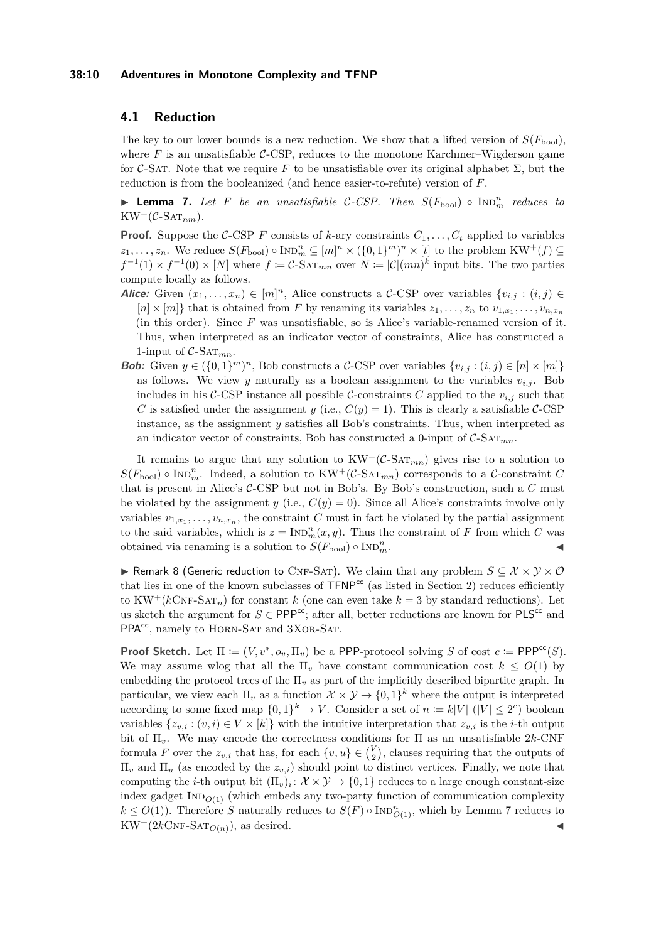#### **38:10 Adventures in Monotone Complexity and TFNP**

### **4.1 Reduction**

The key to our lower bounds is a new reduction. We show that a lifted version of  $S(F_{\text{bool}})$ , where  $F$  is an unsatisfiable  $C$ -CSP, reduces to the monotone Karchmer–Wigderson game for C-SAT. Note that we require F to be unsatisfiable over its original alphabet  $\Sigma$ , but the reduction is from the booleanized (and hence easier-to-refute) version of *F*.

<span id="page-9-1"></span>▶ **Lemma 7.** Let *F* be an unsatisfiable C-CSP. Then  $S(F_{\text{bool}}) \circ \text{IND}_{m}^{n}$  reduces to  $KW^+(\mathcal{C}\text{-}\mathrm{SAT}_{nm})$ .

**Proof.** Suppose the C-CSP *F* consists of *k*-ary constraints  $C_1, \ldots, C_t$  applied to variables  $z_1, \ldots, z_n$ . We reduce  $S(F_{\text{bool}}) \circ \text{Ind}_{m}^{n} \subseteq [m]^n \times (\{0, 1\}^m)^n \times [t]$  to the problem  $KW^+(f) \subseteq$  $f^{-1}(1) \times f^{-1}(0) \times [N]$  where  $f := C$ -SAT<sub>*mn*</sub> over  $N := |C|(mn)^k$  input bits. The two parties compute locally as follows.

- Alice: Given  $(x_1, \ldots, x_n) \in [m]^n$ , Alice constructs a C-CSP over variables  $\{v_{i,j} : (i,j) \in$  $[n] \times [m]$  that is obtained from *F* by renaming its variables  $z_1, \ldots, z_n$  to  $v_{1,x_1}, \ldots, v_{n,x_n}$ (in this order). Since *F* was unsatisfiable, so is Alice's variable-renamed version of it. Thus, when interpreted as an indicator vector of constraints, Alice has constructed a 1-input of  $C$ -Sa $T_{mn}$ .
- **Bob:** Given  $y \in (\{0,1\}^m)^n$ , Bob constructs a C-CSP over variables  $\{v_{i,j} : (i,j) \in [n] \times [m]\}$ as follows. We view *y* naturally as a boolean assignment to the variables  $v_{i,j}$ . Bob includes in his C-CSP instance all possible C-constraints C applied to the  $v_{i,j}$  such that *C* is satisfied under the assignment *y* (i.e.,  $C(y) = 1$ ). This is clearly a satisfiable *C*-CSP instance, as the assignment *y* satisfies all Bob's constraints. Thus, when interpreted as an indicator vector of constraints, Bob has constructed a 0-input of  $C\text{-SAT}_{mn}$ .

It remains to argue that any solution to  $KW^+(\mathcal{C}\text{-}\mathrm{SAT}_{mn})$  gives rise to a solution to  $S(F_{\text{bool}}) \circ \text{IND}_{m}^{n}$ . Indeed, a solution to  $KW^+(\mathcal{C}\text{-}\text{SAT}_{mn})$  corresponds to a  $\mathcal{C}\text{-}\text{constraint } C$ that is present in Alice's C-CSP but not in Bob's. By Bob's construction, such a *C* must be violated by the assignment *y* (i.e.,  $C(y) = 0$ ). Since all Alice's constraints involve only variables  $v_{1,x_1}, \ldots, v_{n,x_n}$ , the constraint *C* must in fact be violated by the partial assignment to the said variables, which is  $z = \text{IND}_{m}^{n}(x, y)$ . Thus the constraint of *F* from which *C* was obtained via renaming is a solution to  $S(F_{\text{bool}}) \circ \text{Ind}_{m}^{n}$ .  $\frac{n}{m}$ .

<span id="page-9-0"></span>**► Remark 8 (Generic reduction to CNF-SAT). We claim that any problem**  $S \subseteq \mathcal{X} \times \mathcal{Y} \times \mathcal{O}$ that lies in one of the known subclasses of  $TFNP<sup>cc</sup>$  (as listed in Section [2\)](#page-5-0) reduces efficiently to  $KW^+(k\text{CNF-SAT}_n)$  for constant *k* (one can even take  $k=3$  by standard reductions). Let us sketch the argument for  $S \in \text{PPP}^{\text{cc}}$ ; after all, better reductions are known for  $\text{PLS}^{\text{cc}}$  and PPA<sup>cc</sup>, namely to HORN-SAT and 3XOR-SAT.

**Proof Sketch.** Let  $\Pi := (V, v^*, o_v, \Pi_v)$  be a PPP-protocol solving *S* of cost  $c := \text{PPP}^{cc}(S)$ . We may assume wlog that all the  $\Pi_v$  have constant communication cost  $k \leq O(1)$  by embedding the protocol trees of the  $\Pi_v$  as part of the implicitly described bipartite graph. In particular, we view each  $\Pi_v$  as a function  $\mathcal{X} \times \mathcal{Y} \to \{0,1\}^k$  where the output is interpreted according to some fixed map  $\{0,1\}^k \to V$ . Consider a set of  $n := k|V|$  ( $|V| \leq 2^c$ ) boolean variables  $\{z_{v,i} : (v,i) \in V \times [k]\}$  with the intuitive interpretation that  $z_{v,i}$  is the *i*-th output bit of  $\Pi_v$ . We may encode the correctness conditions for  $\Pi$  as an unsatisfiable 2*k*-CNF formula *F* over the  $z_{v,i}$  that has, for each  $\{v,u\} \in \binom{V}{2}$ , clauses requiring that the outputs of  $\Pi$ <sup>*v*</sup> and  $\Pi$ <sup>*u*</sup> (as encoded by the *z*<sub>*v*,*i*</sub>) should point to distinct vertices. Finally, we note that computing the *i*-th output bit  $(\Pi_v)_i \colon \mathcal{X} \times \mathcal{Y} \to \{0,1\}$  reduces to a large enough constant-size index gadget  $\text{IND}_{O(1)}$  (which embeds any two-party function of communication complexity  $k \leq O(1)$ ). Therefore *S* naturally reduces to  $S(F) \circ \text{Ind}_{O(1)}^n$ , which by Lemma [7](#page-9-1) reduces to  $KW^+(2k\text{CNF-SAT}_{O(n)})$ , as desired.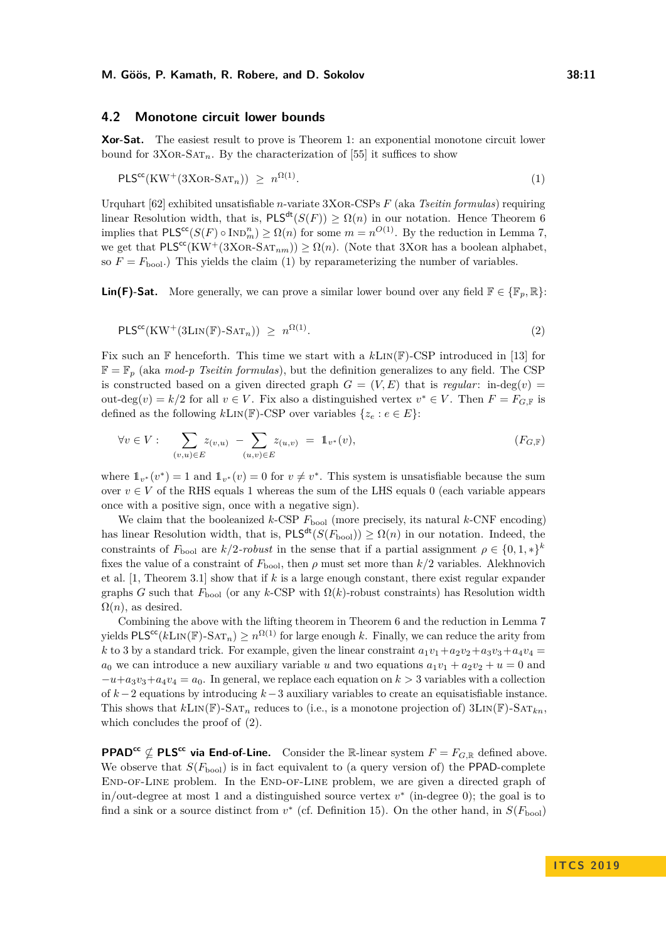#### <span id="page-10-0"></span>**4.2 Monotone circuit lower bounds**

**Xor-Sat.** The easiest result to prove is Theorem [1:](#page-1-1) an exponential monotone circuit lower bound for  $3XOR-SAT_n$ . By the characterization of [\[55\]](#page-17-0) it suffices to show

<span id="page-10-1"></span>
$$
\mathsf{PLS}^{\mathsf{cc}}(\mathsf{KW}^+(3\mathsf{XOR}\text{-}\mathsf{SAT}_n)) \ge n^{\Omega(1)}.
$$
 (1)

Urquhart [\[62\]](#page-17-11) exhibited unsatisfiable *n*-variate 3Xor-CSPs *F* (aka *Tseitin formulas*) requiring linear Resolution width, that is,  $PLS^{dt}(S(F)) \geq \Omega(n)$  in our notation. Hence Theorem [6](#page-8-0) implies that  $PLS^{cc}(S(F) \circ \text{Ind}_{m}^{n}) \geq \Omega(n)$  for some  $m = n^{O(1)}$ . By the reduction in Lemma [7,](#page-9-1) we get that  $PLS^{cc}(KW^+(3XOR-SAT_{nm})) \geq \Omega(n)$ . (Note that 3XOR has a boolean alphabet, so  $F = F_{\text{bool}}$ .) This yields the claim [\(1\)](#page-10-1) by reparameterizing the number of variables.

<span id="page-10-2"></span>**Lin(F)-Sat.** More generally, we can prove a similar lower bound over any field  $\mathbb{F} \in \{\mathbb{F}_n, \mathbb{R}\}$ :

$$
\mathsf{PLS}^{\mathsf{cc}}(\mathsf{KW}^+(\mathsf{3}\mathsf{Lin}(\mathbb{F})\text{-}\mathsf{SAT}_n)) \ge n^{\Omega(1)}.
$$
\n
$$
(2)
$$

Fix such an F henceforth. This time we start with a *k*Lin(F)-CSP introduced in [\[13\]](#page-14-16) for  $\mathbb{F} = \mathbb{F}_p$  (aka *mod-p Tseitin formulas*), but the definition generalizes to any field. The CSP is constructed based on a given directed graph  $G = (V, E)$  that is *regular*: in-deg(*v*) = out-deg $(v) = k/2$  for all  $v \in V$ . Fix also a distinguished vertex  $v^* \in V$ . Then  $F = F_{G,\mathbb{F}}$  is defined as the following  $k\text{Lin}(\mathbb{F})\text{-CSP}$  over variables  $\{z_e : e \in E\}$ :

$$
\forall v \in V : \sum_{(v,u) \in E} z_{(v,u)} - \sum_{(u,v) \in E} z_{(u,v)} = \mathbb{1}_{v^*}(v), \tag{F_{G,\mathbb{F}}}
$$

where  $\mathbb{1}_{v^*}(v^*) = 1$  and  $\mathbb{1}_{v^*}(v) = 0$  for  $v \neq v^*$ . This system is unsatisfiable because the sum over  $v \in V$  of the RHS equals 1 whereas the sum of the LHS equals 0 (each variable appears once with a positive sign, once with a negative sign).

We claim that the booleanized *k*-CSP  $F_{\text{bool}}$  (more precisely, its natural *k*-CNF encoding) has linear Resolution width, that is,  $PLS^{df}(S(F_{bool})) \geq \Omega(n)$  in our notation. Indeed, the constraints of  $F_{\text{bool}}$  are  $k/2$ *-robust* in the sense that if a partial assignment  $\rho \in \{0, 1, *\}^k$ fixes the value of a constraint of  $F_{\text{bool}}$ , then  $\rho$  must set more than  $k/2$  variables. Alekhnovich et al. [\[1,](#page-13-1) Theorem 3.1] show that if *k* is a large enough constant, there exist regular expander graphs *G* such that  $F_{\text{bool}}$  (or any *k*-CSP with  $\Omega(k)$ -robust constraints) has Resolution width  $\Omega(n)$ , as desired.

Combining the above with the lifting theorem in Theorem [6](#page-8-0) and the reduction in Lemma [7](#page-9-1) yields  $\text{PLS}^{\text{cc}}(k\text{Lin}(\mathbb{F})\text{-SAT}_n) \geq n^{\Omega(1)}$  for large enough *k*. Finally, we can reduce the arity from *k* to 3 by a standard trick. For example, given the linear constraint  $a_1v_1+a_2v_2+a_3v_3+a_4v_4$  $a_0$  we can introduce a new auxiliary variable *u* and two equations  $a_1v_1 + a_2v_2 + u = 0$  and  $-u+a_3v_3+a_4v_4=a_0$ . In general, we replace each equation on  $k > 3$  variables with a collection of *k* −2 equations by introducing *k* −3 auxiliary variables to create an equisatisfiable instance. This shows that  $k\text{Lin}(\mathbb{F})$ -SAT<sub>n</sub> reduces to (i.e., is a monotone projection of)  $3\text{Lin}(\mathbb{F})$ -SAT<sub>kn</sub>, which concludes the proof of [\(2\)](#page-10-2).

**PPAD<sup>cc</sup>**  $\nsubseteq$  **PLS<sup>cc</sup>** via **End-of-Line.** Consider the R-linear system  $F = F_{G, \mathbb{R}}$  defined above. We observe that  $S(F_{\text{bool}})$  is in fact equivalent to (a query version of) the PPAD-complete END-OF-LINE problem. In the END-OF-LINE problem, we are given a directed graph of in/out-degree at most 1 and a distinguished source vertex *v* ∗ (in-degree 0); the goal is to find a sink or a source distinct from  $v^*$  (cf. Definition [15\)](#page-18-2). On the other hand, in  $S(F_{\text{bool}})$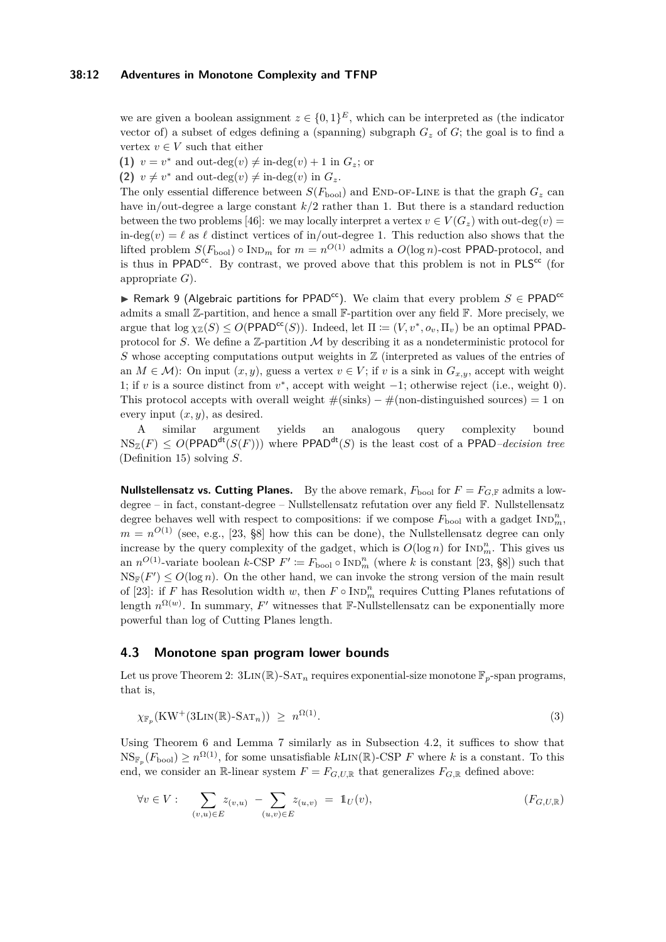#### **38:12 Adventures in Monotone Complexity and TFNP**

we are given a boolean assignment  $z \in \{0,1\}^E$ , which can be interpreted as (the indicator vector of) a subset of edges defining a (spanning) subgraph  $G_z$  of  $G$ ; the goal is to find a vertex  $v \in V$  such that either

**(1)**  $v = v^*$  and out-deg $(v) \neq \text{in-deg}(v) + 1$  in  $G_z$ ; or

**(2)**  $v \neq v^*$  and out-deg $(v) \neq \text{in-deg}(v)$  in  $G_z$ .

The only essential difference between  $S(F_{\text{bool}})$  and END-OF-LINE is that the graph  $G_z$  can have in/out-degree a large constant *k/*2 rather than 1. But there is a standard reduction between the two problems [\[46\]](#page-16-14): we may locally interpret a vertex  $v \in V(G_z)$  with out-deg(*v*) = in-deg(*v*) =  $\ell$  as  $\ell$  distinct vertices of in/out-degree 1. This reduction also shows that the lifted problem  $S(F_{\text{bool}}) \circ \text{IND}_m$  for  $m = n^{O(1)}$  admits a  $O(\log n)$ -cost PPAD-protocol, and is thus in PPAD<sup>cc</sup>. By contrast, we proved above that this problem is not in  $PLS^{cc}$  (for appropriate *G*).

<span id="page-11-1"></span>**► Remark 9 (Algebraic partitions for PPAD<sup>cc</sup>).** We claim that every problem  $S \in \text{PPAD}^{cc}$ admits a small  $\mathbb{Z}$ -partition, and hence a small  $\mathbb{F}$ -partition over any field  $\mathbb{F}$ . More precisely, we  $\arg$ ue that  $\log \chi_{\mathbb{Z}}(S) \leq O(\text{PPAD}^{\text{cc}}(S))$ . Indeed, let  $\Pi := (V, v^*, o_v, \Pi_v)$  be an optimal PPADprotocol for *S*. We define a  $\mathbb{Z}$ -partition M by describing it as a nondeterministic protocol for *S* whose accepting computations output weights in  $\mathbb{Z}$  (interpreted as values of the entries of an  $M \in \mathcal{M}$ : On input  $(x, y)$ , guess a vertex  $v \in V$ ; if v is a sink in  $G_{x,y}$ , accept with weight 1; if *v* is a source distinct from  $v^*$ , accept with weight  $-1$ ; otherwise reject (i.e., weight 0). This protocol accepts with overall weight  $\#(\text{sinks}) - \#(\text{non-distinguished sources}) = 1$  on every input  $(x, y)$ , as desired.

A similar argument yields an analogous query complexity bound  $NS_{\mathbb{Z}}(F) \leq O(PPAD^{dt}(S(F)))$  where  $PPAD^{dt}(S)$  is the least cost of a PPAD*–decision tree* (Definition [15\)](#page-18-2) solving *S*.

**Nullstellensatz vs. Cutting Planes.** By the above remark,  $F_{\text{bool}}$  for  $F = F_{G,\mathbb{F}}$  admits a lowdegree – in fact, constant-degree – Nullstellensatz refutation over any field F. Nullstellensatz degree behaves well with respect to compositions: if we compose  $F_{\text{bool}}$  with a gadget  $\text{IND}_{m}^{n}$ ,  $m = n^{O(1)}$  (see, e.g., [\[23,](#page-15-3) §8] how this can be done), the Nullstellensatz degree can only increase by the query complexity of the gadget, which is  $O(\log n)$  for  $IND_m^n$ . This gives us an  $n^{O(1)}$ -variate boolean  $k$ -CSP  $F' := F_{\text{bool}} \circ \text{IND}_{m}^{n}$  (where  $k$  is constant [\[23,](#page-15-3) §8]) such that  $NS_{\mathbb{F}}(F') \leq O(\log n)$ . On the other hand, we can invoke the strong version of the main result of [\[23\]](#page-15-3): if *F* has Resolution width *w*, then  $F \circ \text{IND}_{m}^{n}$  requires Cutting Planes refutations of length  $n^{\Omega(w)}$ . In summary, F' witnesses that F-Nullstellensatz can be exponentially more powerful than log of Cutting Planes length.

#### <span id="page-11-0"></span>**4.3 Monotone span program lower bounds**

Let us prove Theorem [2:](#page-2-0)  $3\text{Lin}(\mathbb{R})$ -SAT<sub>n</sub> requires exponential-size monotone  $\mathbb{F}_p$ -span programs, that is,

<span id="page-11-2"></span>
$$
\chi_{\mathbb{F}_p}(\text{KW}^+(\text{3Lin}(\mathbb{R})\text{-}\text{SAT}_n)) \ge n^{\Omega(1)}.
$$
\n(3)

Using Theorem [6](#page-8-0) and Lemma [7](#page-9-1) similarly as in Subsection [4.2,](#page-10-0) it suffices to show that  $\text{NS}_{\mathbb{F}_p}(F_{\text{bool}}) \geq n^{\Omega(1)}$ , for some unsatisfiable  $k\text{Lin}(\mathbb{R})$ -CSP *F* where *k* is a constant. To this end, we consider an R-linear system  $F = F_{G,U,R}$  that generalizes  $F_{G,R}$  defined above:

$$
\forall v \in V : \sum_{(v,u) \in E} z_{(v,u)} - \sum_{(u,v) \in E} z_{(u,v)} = \mathbb{1}_U(v), \qquad (F_{G,U,\mathbb{R}})
$$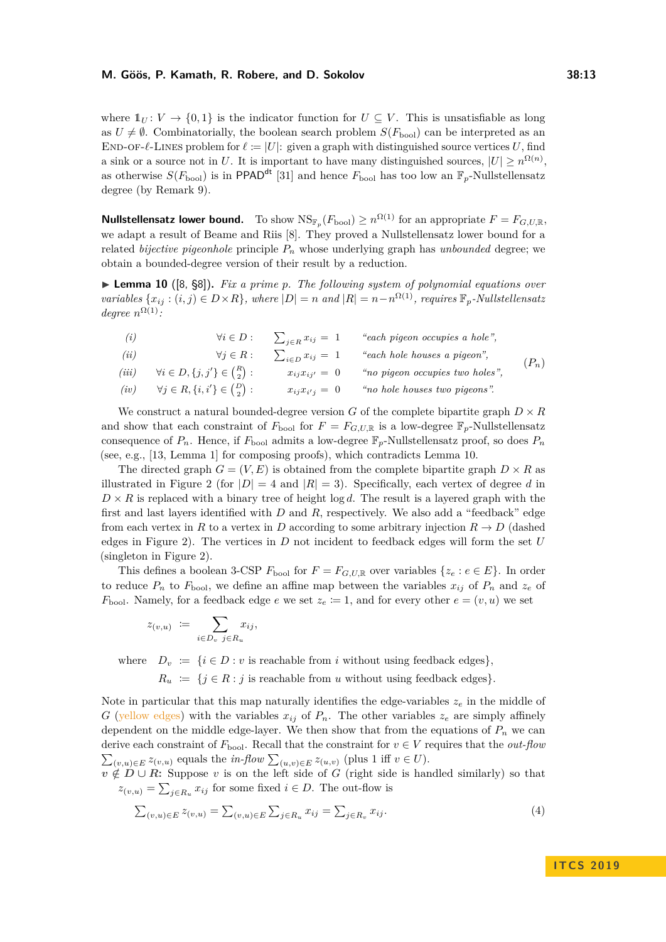where  $1_U: V \to \{0,1\}$  is the indicator function for  $U \subseteq V$ . This is unsatisfiable as long as  $U \neq \emptyset$ . Combinatorially, the boolean search problem  $S(F_{\text{bool}})$  can be interpreted as an END-OF- $\ell$ -LINES problem for  $\ell := |U|$ : given a graph with distinguished source vertices U, find a sink or a source not in *U*. It is important to have many distinguished sources,  $|U| \geq n^{\Omega(n)}$ , as otherwise  $S(F_{\text{bool}})$  is in PPAD<sup>dt</sup> [\[31\]](#page-15-13) and hence  $F_{\text{bool}}$  has too low an  $\mathbb{F}_p$ -Nullstellensatz degree (by Remark [9\)](#page-11-1).

**Nullstellensatz lower bound.** To show  $\text{NS}_{\mathbb{F}_p}(F_{\text{bool}}) \geq n^{\Omega(1)}$  for an appropriate  $F = F_{G,U,\mathbb{R}}$ , we adapt a result of Beame and Riis [\[8\]](#page-14-5). They proved a Nullstellensatz lower bound for a related *bijective pigeonhole* principle *P<sup>n</sup>* whose underlying graph has *unbounded* degree; we obtain a bounded-degree version of their result by a reduction.

<span id="page-12-0"></span>▶ **Lemma 10** ([\[8,](#page-14-5) §8]). *Fix a prime p. The following system of polynomial equations over variables*  $\{x_{ij} : (i, j) \in D \times R\}$ *, where*  $|D| = n$  *and*  $|R| = n - n^{\Omega(1)}$ *, requires*  $\mathbb{F}_p$ *-Nullstellensatz degree*  $n^{\Omega(1)}$ *:* 

(i) 
$$
\forall i \in D : \sum_{j \in R} x_{ij} = 1
$$
 "each pigeon occupies a hole",  
\n(ii)  $\forall j \in R : \sum_{i \in D} x_{ij} = 1$  "each hole houses a pigeon",  
\n(iii)  $\forall i \in D, \{j, j'\} \in {R \choose 2} : x_{ij}x_{ij'} = 0$  "no pigeon occupies two holes",  
\n(iv)  $\forall j \in R, \{i, i'\} \in {D \choose 2} : x_{ij}x_{i'j} = 0$  "no hole houses two pigeons".

We construct a natural bounded-degree version *G* of the complete bipartite graph  $D \times R$ and show that each constraint of  $F_{\text{bool}}$  for  $F = F_{G,U,\mathbb{R}}$  is a low-degree  $\mathbb{F}_p$ -Nullstellensatz consequence of  $P_n$ . Hence, if  $F_{\text{bool}}$  admits a low-degree  $\mathbb{F}_p$ -Nullstellensatz proof, so does  $P_n$ (see, e.g., [\[13,](#page-14-16) Lemma 1] for composing proofs), which contradicts Lemma [10.](#page-12-0)

The directed graph  $G = (V, E)$  is obtained from the complete bipartite graph  $D \times R$  as illustrated in Figure [2](#page-13-3) (for  $|D| = 4$  and  $|R| = 3$ ). Specifically, each vertex of degree d in  $D \times R$  is replaced with a binary tree of height log *d*. The result is a layered graph with the first and last layers identified with *D* and *R*, respectively. We also add a "feedback" edge from each vertex in *R* to a vertex in *D* according to some arbitrary injection  $R \to D$  (dashed edges in Figure [2\)](#page-13-3). The vertices in *D* not incident to feedback edges will form the set *U* (singleton in Figure [2\)](#page-13-3).

This defines a boolean 3-CSP  $F_{\text{bool}}$  for  $F = F_{G,U,\mathbb{R}}$  over variables  $\{z_e : e \in E\}$ . In order to reduce  $P_n$  to  $F_{\text{bool}}$ , we define an affine map between the variables  $x_{ij}$  of  $P_n$  and  $z_e$  of  $F_{\text{bool}}$ . Namely, for a feedback edge *e* we set  $z_e \coloneqq 1$ , and for every other  $e = (v, u)$  we set

$$
z_{(v,u)} := \sum_{i \in D_v} x_{ij},
$$

where  $D_v := \{i \in D : v \text{ is reachable from } i \text{ without using feedback edges}\}\$ 

<span id="page-12-1"></span> $R_u$  := { $j \in R : j$  is reachable from *u* without using feedback edges}.

Note in particular that this map naturally identifies the edge-variables  $z_e$  in the middle of *G* (yellow edges) with the variables  $x_{ij}$  of  $P_n$ . The other variables  $z_e$  are simply affinely dependent on the middle edge-layer. We then show that from the equations of  $P_n$  we can derive each constraint of  $F_{\text{bool}}$ . Recall that the constraint for  $v \in V$  requires that the *out-flow*  $\sum_{(v,u)\in E} z_{(v,u)}$  equals the *in-flow*  $\sum_{(u,v)\in E} z_{(u,v)}$  (plus 1 iff  $v \in U$ ).

 $v \notin D \cup R$ : Suppose *v* is on the left side of *G* (right side is handled similarly) so that  $z_{(v,u)} = \sum_{j \in R_u} x_{ij}$  for some fixed  $i \in D$ . The out-flow is

$$
\sum_{(v,u)\in E} z_{(v,u)} = \sum_{(v,u)\in E} \sum_{j\in R_u} x_{ij} = \sum_{j\in R_v} x_{ij}.
$$
\n(4)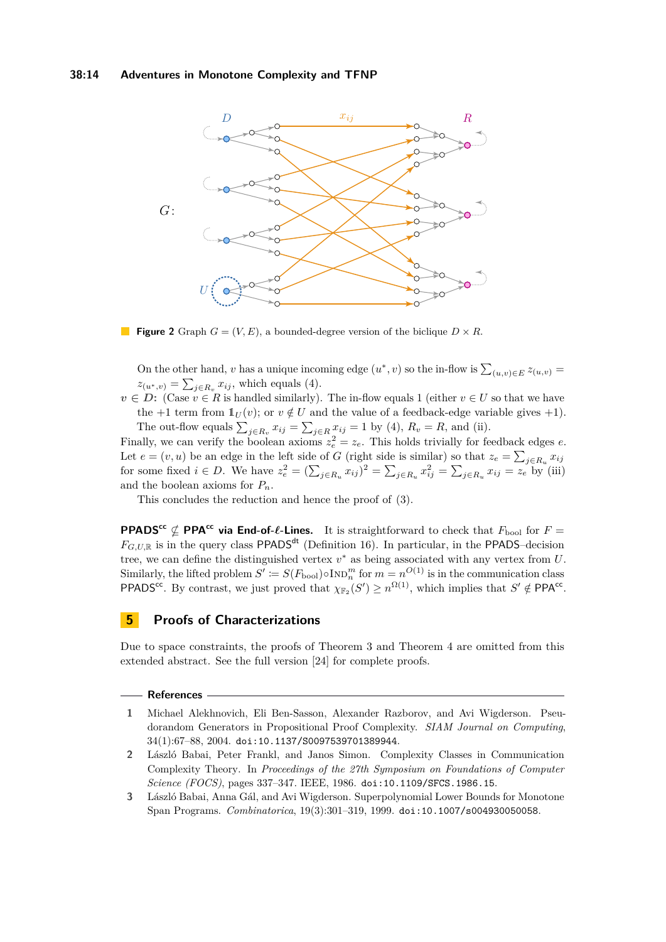#### **38:14 Adventures in Monotone Complexity and TFNP**

<span id="page-13-3"></span>

**Figure 2** Graph  $G = (V, E)$ , a bounded-degree version of the biclique  $D \times R$ .

On the other hand, *v* has a unique incoming edge  $(u^*, v)$  so the in-flow is  $\sum_{(u,v)\in E} z_{(u,v)} =$  $z_{(u^*,v)} = \sum_{j \in R_v} x_{ij}$ , which equals [\(4\)](#page-12-1).

 $v \in D$ : (Case  $v \in R$  is handled similarly). The in-flow equals 1 (either  $v \in U$  so that we have the +1 term from  $1_U(v)$ ; or  $v \notin U$  and the value of a feedback-edge variable gives +1). The out-flow equals  $\sum_{j \in R_v} x_{ij} = \sum_{j \in R} x_{ij} = 1$  by [\(4\)](#page-12-1),  $R_v = R$ , and (ii).

Finally, we can verify the boolean axioms  $z_e^2 = z_e$ . This holds trivially for feedback edges *e*. Let  $e = (v, u)$  be an edge in the left side of *G* (right side is similar) so that  $z_e = \sum_{j \in R_u} x_{ij}$ for some fixed  $i \in D$ . We have  $z_e^2 = (\sum_{j \in R_u} x_{ij})^2 = \sum_{j \in R_u} x_{ij}^2 = \sum_{j \in R_u} x_{ij} = z_e$  by (iii) and the boolean axioms for *Pn*.

This concludes the reduction and hence the proof of [\(3\)](#page-11-2).

**PPADS<sup>cc</sup>**  $\nsubseteq$  **PPA<sup>cc</sup>** via **End-of-** $\ell$ -**Lines.** It is straightforward to check that  $F_{\text{bool}}$  for  $F =$  $F_{G, U, \mathbb{R}}$  is in the query class PPADS<sup>dt</sup> (Definition [16\)](#page-18-3). In particular, in the PPADS–decision tree, we can define the distinguished vertex *v* <sup>∗</sup> as being associated with any vertex from *U*. Similarly, the lifted problem  $S' \coloneqq S(F_{\text{bool}}) \circ \text{Ind}_{n}^{m}$  for  $m = n^{O(1)}$  is in the communication class PPADS<sup>cc</sup>. By contrast, we just proved that  $\chi_{\mathbb{F}_2}(S') \geq n^{\Omega(1)}$ , which implies that  $S' \notin \mathsf{PPA}^{\mathsf{cc}}$ .

## **5 Proofs of Characterizations**

Due to space constraints, the proofs of Theorem [3](#page-4-0) and Theorem [4](#page-4-3) are omitted from this extended abstract. See the full version [\[24\]](#page-15-0) for complete proofs.

#### **References**

- <span id="page-13-1"></span>**1** Michael Alekhnovich, Eli Ben-Sasson, Alexander Razborov, and Avi Wigderson. Pseudorandom Generators in Propositional Proof Complexity. *SIAM Journal on Computing*, 34(1):67–88, 2004. [doi:10.1137/S0097539701389944](http://dx.doi.org/10.1137/S0097539701389944).
- <span id="page-13-2"></span>**2** László Babai, Peter Frankl, and Janos Simon. Complexity Classes in Communication Complexity Theory. In *Proceedings of the 27th Symposium on Foundations of Computer Science (FOCS)*, pages 337–347. IEEE, 1986. [doi:10.1109/SFCS.1986.15](http://dx.doi.org/10.1109/SFCS.1986.15).
- <span id="page-13-0"></span>**3** László Babai, Anna Gál, and Avi Wigderson. Superpolynomial Lower Bounds for Monotone Span Programs. *Combinatorica*, 19(3):301–319, 1999. [doi:10.1007/s004930050058](http://dx.doi.org/10.1007/s004930050058).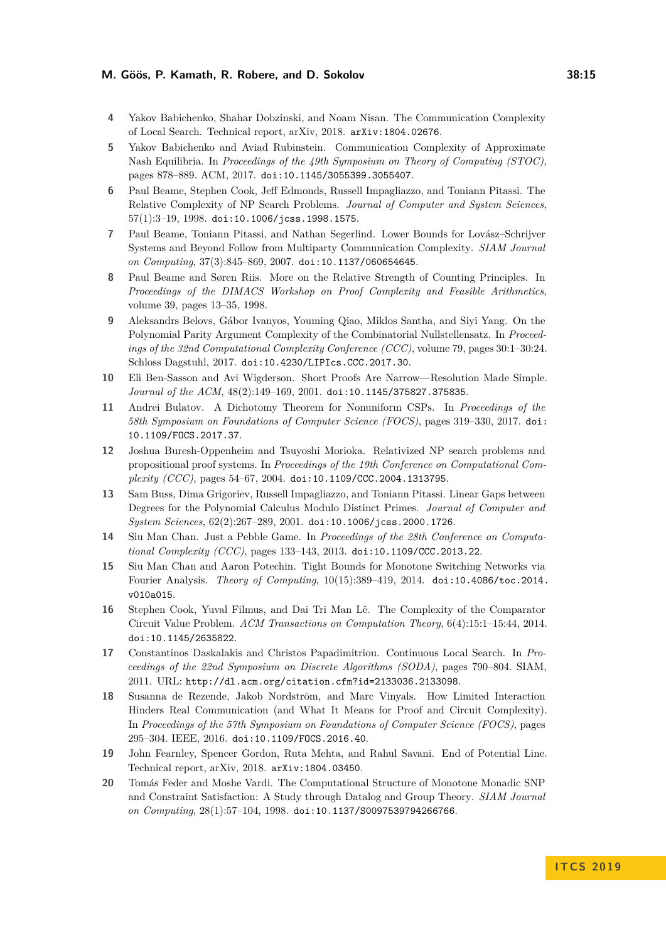- <span id="page-14-13"></span>**4** Yakov Babichenko, Shahar Dobzinski, and Noam Nisan. The Communication Complexity of Local Search. Technical report, arXiv, 2018. [arXiv:1804.02676](http://arxiv.org/abs/1804.02676).
- <span id="page-14-12"></span>**5** Yakov Babichenko and Aviad Rubinstein. Communication Complexity of Approximate Nash Equilibria. In *Proceedings of the 49th Symposium on Theory of Computing (STOC)*, pages 878–889. ACM, 2017. [doi:10.1145/3055399.3055407](http://dx.doi.org/10.1145/3055399.3055407).
- <span id="page-14-7"></span>**6** Paul Beame, Stephen Cook, Jeff Edmonds, Russell Impagliazzo, and Toniann Pitassi. The Relative Complexity of NP Search Problems. *Journal of Computer and System Sciences*, 57(1):3–19, 1998. [doi:10.1006/jcss.1998.1575](http://dx.doi.org/10.1006/jcss.1998.1575).
- <span id="page-14-11"></span>**7** Paul Beame, Toniann Pitassi, and Nathan Segerlind. Lower Bounds for Lovász–Schrijver Systems and Beyond Follow from Multiparty Communication Complexity. *SIAM Journal on Computing*, 37(3):845–869, 2007. [doi:10.1137/060654645](http://dx.doi.org/10.1137/060654645).
- <span id="page-14-5"></span>**8** Paul Beame and Søren Riis. More on the Relative Strength of Counting Principles. In *Proceedings of the DIMACS Workshop on Proof Complexity and Feasible Arithmetics*, volume 39, pages 13–35, 1998.
- <span id="page-14-8"></span>**9** Aleksandrs Belovs, Gábor Ivanyos, Youming Qiao, Miklos Santha, and Siyi Yang. On the Polynomial Parity Argument Complexity of the Combinatorial Nullstellensatz. In *Proceedings of the 32nd Computational Complexity Conference (CCC)*, volume 79, pages 30:1–30:24. Schloss Dagstuhl, 2017. [doi:10.4230/LIPIcs.CCC.2017.30](http://dx.doi.org/10.4230/LIPIcs.CCC.2017.30).
- <span id="page-14-6"></span>**10** Eli Ben-Sasson and Avi Wigderson. Short Proofs Are Narrow—Resolution Made Simple. *Journal of the ACM*, 48(2):149–169, 2001. [doi:10.1145/375827.375835](http://dx.doi.org/10.1145/375827.375835).
- <span id="page-14-4"></span>**11** Andrei Bulatov. A Dichotomy Theorem for Nonuniform CSPs. In *Proceedings of the 58th Symposium on Foundations of Computer Science (FOCS)*, pages 319–330, 2017. [doi:](http://dx.doi.org/10.1109/FOCS.2017.37) [10.1109/FOCS.2017.37](http://dx.doi.org/10.1109/FOCS.2017.37).
- <span id="page-14-15"></span>**12** Joshua Buresh-Oppenheim and Tsuyoshi Morioka. Relativized NP search problems and propositional proof systems. In *Proceedings of the 19th Conference on Computational Complexity (CCC)*, pages 54–67, 2004. [doi:10.1109/CCC.2004.1313795](http://dx.doi.org/10.1109/CCC.2004.1313795).
- <span id="page-14-16"></span>**13** Sam Buss, Dima Grigoriev, Russell Impagliazzo, and Toniann Pitassi. Linear Gaps between Degrees for the Polynomial Calculus Modulo Distinct Primes. *Journal of Computer and System Sciences*, 62(2):267–289, 2001. [doi:10.1006/jcss.2000.1726](http://dx.doi.org/10.1006/jcss.2000.1726).
- <span id="page-14-0"></span>**14** Siu Man Chan. Just a Pebble Game. In *Proceedings of the 28th Conference on Computational Complexity (CCC)*, pages 133–143, 2013. [doi:10.1109/CCC.2013.22](http://dx.doi.org/10.1109/CCC.2013.22).
- <span id="page-14-1"></span>**15** Siu Man Chan and Aaron Potechin. Tight Bounds for Monotone Switching Networks via Fourier Analysis. *Theory of Computing*, 10(15):389–419, 2014. [doi:10.4086/toc.2014.](http://dx.doi.org/10.4086/toc.2014.v010a015) [v010a015](http://dx.doi.org/10.4086/toc.2014.v010a015).
- <span id="page-14-14"></span>**16** Stephen Cook, Yuval Filmus, and Dai Tri Man Lê. The Complexity of the Comparator Circuit Value Problem. *ACM Transactions on Computation Theory*, 6(4):15:1–15:44, 2014. [doi:10.1145/2635822](http://dx.doi.org/10.1145/2635822).
- <span id="page-14-9"></span>**17** Constantinos Daskalakis and Christos Papadimitriou. Continuous Local Search. In *Proceedings of the 22nd Symposium on Discrete Algorithms (SODA)*, pages 790–804. SIAM, 2011. URL: <http://dl.acm.org/citation.cfm?id=2133036.2133098>.
- <span id="page-14-2"></span>**18** Susanna de Rezende, Jakob Nordström, and Marc Vinyals. How Limited Interaction Hinders Real Communication (and What It Means for Proof and Circuit Complexity). In *Proceedings of the 57th Symposium on Foundations of Computer Science (FOCS)*, pages 295–304. IEEE, 2016. [doi:10.1109/FOCS.2016.40](http://dx.doi.org/10.1109/FOCS.2016.40).
- <span id="page-14-10"></span>**19** John Fearnley, Spencer Gordon, Ruta Mehta, and Rahul Savani. End of Potential Line. Technical report, arXiv, 2018. [arXiv:1804.03450](http://arxiv.org/abs/1804.03450).
- <span id="page-14-3"></span>**20** Tomás Feder and Moshe Vardi. The Computational Structure of Monotone Monadic SNP and Constraint Satisfaction: A Study through Datalog and Group Theory. *SIAM Journal on Computing*, 28(1):57–104, 1998. [doi:10.1137/S0097539794266766](http://dx.doi.org/10.1137/S0097539794266766).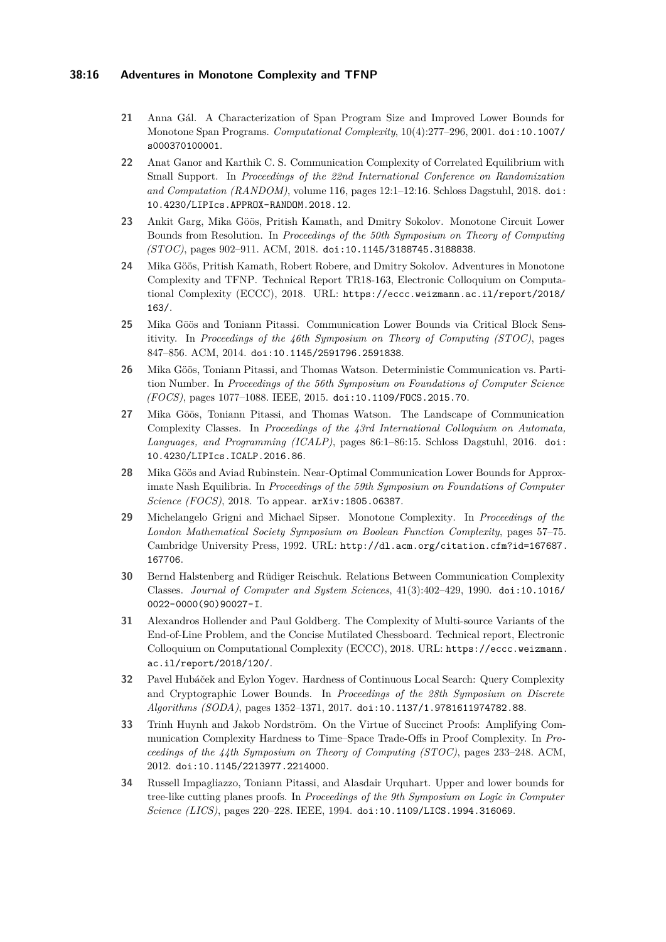#### **38:16 Adventures in Monotone Complexity and TFNP**

- <span id="page-15-6"></span>**21** Anna Gál. A Characterization of Span Program Size and Improved Lower Bounds for Monotone Span Programs. *Computational Complexity*, 10(4):277–296, 2001. [doi:10.1007/](http://dx.doi.org/10.1007/s000370100001) [s000370100001](http://dx.doi.org/10.1007/s000370100001).
- <span id="page-15-12"></span>**22** Anat Ganor and Karthik C. S. Communication Complexity of Correlated Equilibrium with Small Support. In *Proceedings of the 22nd International Conference on Randomization and Computation (RANDOM)*, volume 116, pages 12:1–12:16. Schloss Dagstuhl, 2018. [doi:](http://dx.doi.org/10.4230/LIPIcs.APPROX-RANDOM.2018.12) [10.4230/LIPIcs.APPROX-RANDOM.2018.12](http://dx.doi.org/10.4230/LIPIcs.APPROX-RANDOM.2018.12).
- <span id="page-15-3"></span>**23** Ankit Garg, Mika Göös, Pritish Kamath, and Dmitry Sokolov. Monotone Circuit Lower Bounds from Resolution. In *Proceedings of the 50th Symposium on Theory of Computing (STOC)*, pages 902–911. ACM, 2018. [doi:10.1145/3188745.3188838](http://dx.doi.org/10.1145/3188745.3188838).
- <span id="page-15-0"></span>**24** Mika Göös, Pritish Kamath, Robert Robere, and Dmitry Sokolov. Adventures in Monotone Complexity and TFNP. Technical Report TR18-163, Electronic Colloquium on Computational Complexity (ECCC), 2018. URL: [https://eccc.weizmann.ac.il/report/2018/](https://eccc.weizmann.ac.il/report/2018/163/) [163/](https://eccc.weizmann.ac.il/report/2018/163/).
- <span id="page-15-2"></span>**25** Mika Göös and Toniann Pitassi. Communication Lower Bounds via Critical Block Sensitivity. In *Proceedings of the 46th Symposium on Theory of Computing (STOC)*, pages 847–856. ACM, 2014. [doi:10.1145/2591796.2591838](http://dx.doi.org/10.1145/2591796.2591838).
- <span id="page-15-7"></span>**26** Mika Göös, Toniann Pitassi, and Thomas Watson. Deterministic Communication vs. Partition Number. In *Proceedings of the 56th Symposium on Foundations of Computer Science (FOCS)*, pages 1077–1088. IEEE, 2015. [doi:10.1109/FOCS.2015.70](http://dx.doi.org/10.1109/FOCS.2015.70).
- <span id="page-15-5"></span>**27** Mika Göös, Toniann Pitassi, and Thomas Watson. The Landscape of Communication Complexity Classes. In *Proceedings of the 43rd International Colloquium on Automata, Languages, and Programming (ICALP)*, pages 86:1–86:15. Schloss Dagstuhl, 2016. [doi:](http://dx.doi.org/10.4230/LIPIcs.ICALP.2016.86) [10.4230/LIPIcs.ICALP.2016.86](http://dx.doi.org/10.4230/LIPIcs.ICALP.2016.86).
- <span id="page-15-11"></span>**28** Mika Göös and Aviad Rubinstein. Near-Optimal Communication Lower Bounds for Approximate Nash Equilibria. In *Proceedings of the 59th Symposium on Foundations of Computer Science (FOCS)*, 2018. To appear. [arXiv:1805.06387](http://arxiv.org/abs/1805.06387).
- <span id="page-15-1"></span>**29** Michelangelo Grigni and Michael Sipser. Monotone Complexity. In *Proceedings of the London Mathematical Society Symposium on Boolean Function Complexity*, pages 57–75. Cambridge University Press, 1992. URL: [http://dl.acm.org/citation.cfm?id=167687.](http://dl.acm.org/citation.cfm?id=167687.167706) [167706](http://dl.acm.org/citation.cfm?id=167687.167706).
- <span id="page-15-4"></span>**30** Bernd Halstenberg and Rüdiger Reischuk. Relations Between Communication Complexity Classes. *Journal of Computer and System Sciences*, 41(3):402–429, 1990. [doi:10.1016/](http://dx.doi.org/10.1016/0022-0000(90)90027-I) [0022-0000\(90\)90027-I](http://dx.doi.org/10.1016/0022-0000(90)90027-I).
- <span id="page-15-13"></span>**31** Alexandros Hollender and Paul Goldberg. The Complexity of Multi-source Variants of the End-of-Line Problem, and the Concise Mutilated Chessboard. Technical report, Electronic Colloquium on Computational Complexity (ECCC), 2018. URL: [https://eccc.weizmann.](https://eccc.weizmann.ac.il/report/2018/120/) [ac.il/report/2018/120/](https://eccc.weizmann.ac.il/report/2018/120/).
- <span id="page-15-8"></span>**32** Pavel Hubáček and Eylon Yogev. Hardness of Continuous Local Search: Query Complexity and Cryptographic Lower Bounds. In *Proceedings of the 28th Symposium on Discrete Algorithms (SODA)*, pages 1352–1371, 2017. [doi:10.1137/1.9781611974782.88](http://dx.doi.org/10.1137/1.9781611974782.88).
- <span id="page-15-10"></span>**33** Trinh Huynh and Jakob Nordström. On the Virtue of Succinct Proofs: Amplifying Communication Complexity Hardness to Time–Space Trade-Offs in Proof Complexity. In *Proceedings of the 44th Symposium on Theory of Computing (STOC)*, pages 233–248. ACM, 2012. [doi:10.1145/2213977.2214000](http://dx.doi.org/10.1145/2213977.2214000).
- <span id="page-15-9"></span>**34** Russell Impagliazzo, Toniann Pitassi, and Alasdair Urquhart. Upper and lower bounds for tree-like cutting planes proofs. In *Proceedings of the 9th Symposium on Logic in Computer Science (LICS)*, pages 220–228. IEEE, 1994. [doi:10.1109/LICS.1994.316069](http://dx.doi.org/10.1109/LICS.1994.316069).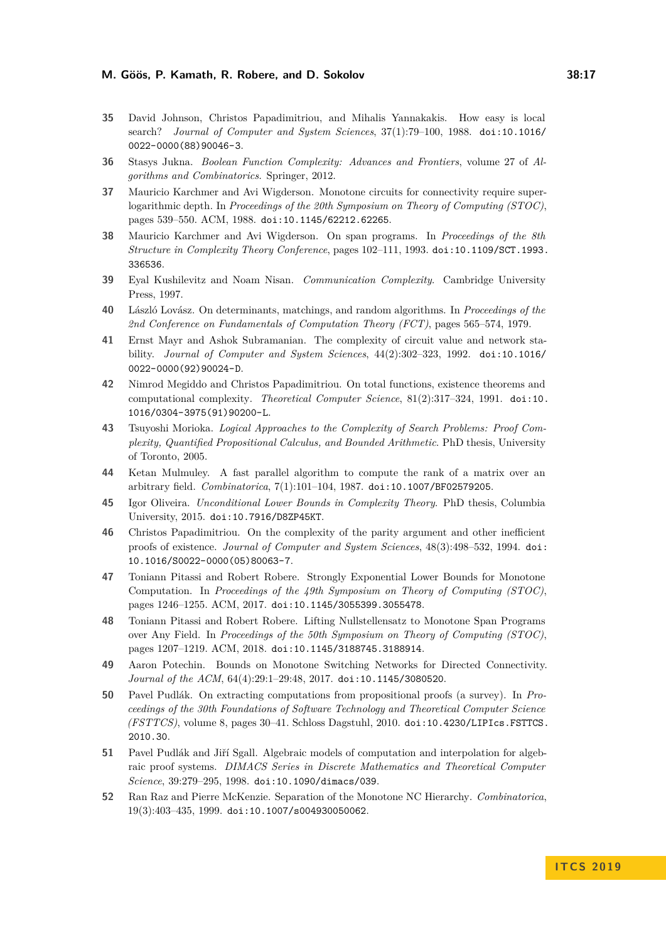- <span id="page-16-13"></span>**35** David Johnson, Christos Papadimitriou, and Mihalis Yannakakis. How easy is local search? *Journal of Computer and System Sciences*, 37(1):79–100, 1988. [doi:10.1016/](http://dx.doi.org/10.1016/0022-0000(88)90046-3) [0022-0000\(88\)90046-3](http://dx.doi.org/10.1016/0022-0000(88)90046-3).
- <span id="page-16-0"></span>**36** Stasys Jukna. *Boolean Function Complexity: Advances and Frontiers*, volume 27 of *Algorithms and Combinatorics*. Springer, 2012.
- <span id="page-16-1"></span>**37** Mauricio Karchmer and Avi Wigderson. Monotone circuits for connectivity require superlogarithmic depth. In *Proceedings of the 20th Symposium on Theory of Computing (STOC)*, pages 539–550. ACM, 1988. [doi:10.1145/62212.62265](http://dx.doi.org/10.1145/62212.62265).
- <span id="page-16-10"></span>**38** Mauricio Karchmer and Avi Wigderson. On span programs. In *Proceedings of the 8th Structure in Complexity Theory Conference*, pages 102–111, 1993. [doi:10.1109/SCT.1993.](http://dx.doi.org/10.1109/SCT.1993.336536) [336536](http://dx.doi.org/10.1109/SCT.1993.336536).
- <span id="page-16-3"></span>**39** Eyal Kushilevitz and Noam Nisan. *Communication Complexity*. Cambridge University Press, 1997.
- <span id="page-16-9"></span>**40** László Lovász. On determinants, matchings, and random algorithms. In *Proceedings of the 2nd Conference on Fundamentals of Computation Theory (FCT)*, pages 565–574, 1979.
- <span id="page-16-16"></span>**41** Ernst Mayr and Ashok Subramanian. The complexity of circuit value and network stability. *Journal of Computer and System Sciences*, 44(2):302–323, 1992. [doi:10.1016/](http://dx.doi.org/10.1016/0022-0000(92)90024-D) [0022-0000\(92\)90024-D](http://dx.doi.org/10.1016/0022-0000(92)90024-D).
- <span id="page-16-11"></span>**42** Nimrod Megiddo and Christos Papadimitriou. On total functions, existence theorems and computational complexity. *Theoretical Computer Science*, 81(2):317–324, 1991. [doi:10.](http://dx.doi.org/10.1016/0304-3975(91)90200-L) [1016/0304-3975\(91\)90200-L](http://dx.doi.org/10.1016/0304-3975(91)90200-L).
- <span id="page-16-17"></span>**43** Tsuyoshi Morioka. *Logical Approaches to the Complexity of Search Problems: Proof Complexity, Quantified Propositional Calculus, and Bounded Arithmetic*. PhD thesis, University of Toronto, 2005.
- <span id="page-16-8"></span>**44** Ketan Mulmuley. A fast parallel algorithm to compute the rank of a matrix over an arbitrary field. *Combinatorica*, 7(1):101–104, 1987. [doi:10.1007/BF02579205](http://dx.doi.org/10.1007/BF02579205).
- <span id="page-16-6"></span>**45** Igor Oliveira. *Unconditional Lower Bounds in Complexity Theory*. PhD thesis, Columbia University, 2015. [doi:10.7916/D8ZP45KT](http://dx.doi.org/10.7916/D8ZP45KT).
- <span id="page-16-14"></span>**46** Christos Papadimitriou. On the complexity of the parity argument and other inefficient proofs of existence. *Journal of Computer and System Sciences*, 48(3):498–532, 1994. [doi:](http://dx.doi.org/10.1016/S0022-0000(05)80063-7) [10.1016/S0022-0000\(05\)80063-7](http://dx.doi.org/10.1016/S0022-0000(05)80063-7).
- <span id="page-16-7"></span>**47** Toniann Pitassi and Robert Robere. Strongly Exponential Lower Bounds for Monotone Computation. In *Proceedings of the 49th Symposium on Theory of Computing (STOC)*, pages 1246–1255. ACM, 2017. [doi:10.1145/3055399.3055478](http://dx.doi.org/10.1145/3055399.3055478).
- <span id="page-16-5"></span>**48** Toniann Pitassi and Robert Robere. Lifting Nullstellensatz to Monotone Span Programs over Any Field. In *Proceedings of the 50th Symposium on Theory of Computing (STOC)*, pages 1207–1219. ACM, 2018. [doi:10.1145/3188745.3188914](http://dx.doi.org/10.1145/3188745.3188914).
- <span id="page-16-2"></span>**49** Aaron Potechin. Bounds on Monotone Switching Networks for Directed Connectivity. *Journal of the ACM*, 64(4):29:1–29:48, 2017. [doi:10.1145/3080520](http://dx.doi.org/10.1145/3080520).
- <span id="page-16-12"></span>**50** Pavel Pudlák. On extracting computations from propositional proofs (a survey). In *Proceedings of the 30th Foundations of Software Technology and Theoretical Computer Science (FSTTCS)*, volume 8, pages 30–41. Schloss Dagstuhl, 2010. [doi:10.4230/LIPIcs.FSTTCS.](http://dx.doi.org/10.4230/LIPIcs.FSTTCS.2010.30) [2010.30](http://dx.doi.org/10.4230/LIPIcs.FSTTCS.2010.30).
- <span id="page-16-15"></span>**51** Pavel Pudlák and Jiří Sgall. Algebraic models of computation and interpolation for algebraic proof systems. *DIMACS Series in Discrete Mathematics and Theoretical Computer Science*, 39:279–295, 1998. [doi:10.1090/dimacs/039](http://dx.doi.org/10.1090/dimacs/039).
- <span id="page-16-4"></span>**52** Ran Raz and Pierre McKenzie. Separation of the Monotone NC Hierarchy. *Combinatorica*, 19(3):403–435, 1999. [doi:10.1007/s004930050062](http://dx.doi.org/10.1007/s004930050062).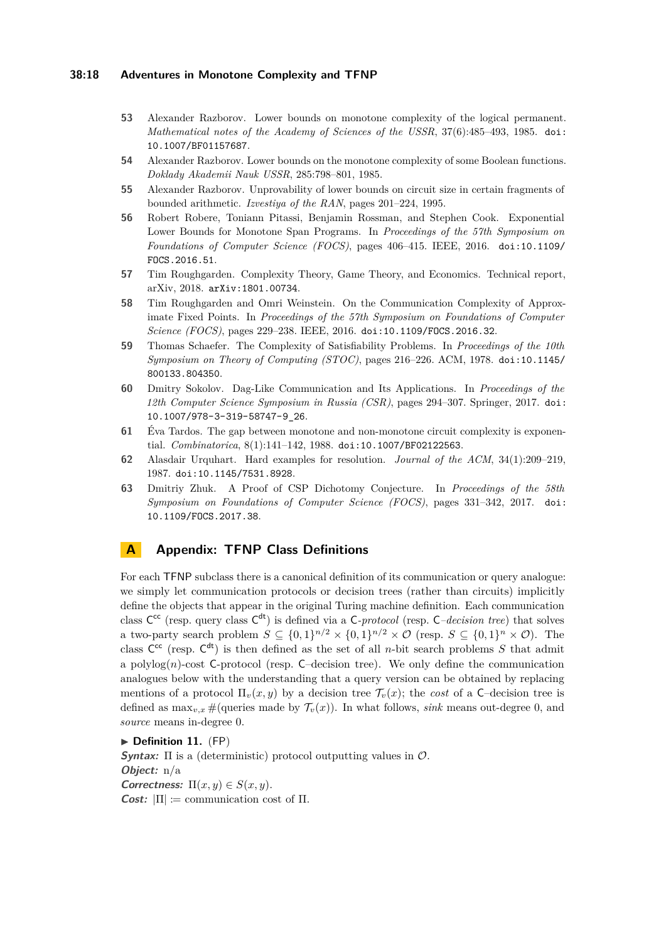#### **38:18 Adventures in Monotone Complexity and TFNP**

- <span id="page-17-5"></span>**53** Alexander Razborov. Lower bounds on monotone complexity of the logical permanent. *Mathematical notes of the Academy of Sciences of the USSR*, 37(6):485–493, 1985. [doi:](http://dx.doi.org/10.1007/BF01157687) [10.1007/BF01157687](http://dx.doi.org/10.1007/BF01157687).
- <span id="page-17-10"></span>**54** Alexander Razborov. Lower bounds on the monotone complexity of some Boolean functions. *Doklady Akademii Nauk USSR*, 285:798–801, 1985.
- <span id="page-17-0"></span>**55** Alexander Razborov. Unprovability of lower bounds on circuit size in certain fragments of bounded arithmetic. *Izvestiya of the RAN*, pages 201–224, 1995.
- <span id="page-17-1"></span>**56** Robert Robere, Toniann Pitassi, Benjamin Rossman, and Stephen Cook. Exponential Lower Bounds for Monotone Span Programs. In *Proceedings of the 57th Symposium on Foundations of Computer Science (FOCS)*, pages 406–415. IEEE, 2016. [doi:10.1109/](http://dx.doi.org/10.1109/FOCS.2016.51) [FOCS.2016.51](http://dx.doi.org/10.1109/FOCS.2016.51).
- <span id="page-17-9"></span>**57** Tim Roughgarden. Complexity Theory, Game Theory, and Economics. Technical report, arXiv, 2018. [arXiv:1801.00734](http://arxiv.org/abs/1801.00734).
- <span id="page-17-8"></span>**58** Tim Roughgarden and Omri Weinstein. On the Communication Complexity of Approximate Fixed Points. In *Proceedings of the 57th Symposium on Foundations of Computer Science (FOCS)*, pages 229–238. IEEE, 2016. [doi:10.1109/FOCS.2016.32](http://dx.doi.org/10.1109/FOCS.2016.32).
- <span id="page-17-2"></span>**59** Thomas Schaefer. The Complexity of Satisfiability Problems. In *Proceedings of the 10th Symposium on Theory of Computing (STOC)*, pages 216–226. ACM, 1978. [doi:10.1145/](http://dx.doi.org/10.1145/800133.804350) [800133.804350](http://dx.doi.org/10.1145/800133.804350).
- <span id="page-17-6"></span>**60** Dmitry Sokolov. Dag-Like Communication and Its Applications. In *Proceedings of the 12th Computer Science Symposium in Russia (CSR)*, pages 294–307. Springer, 2017. [doi:](http://dx.doi.org/10.1007/978-3-319-58747-9_26) [10.1007/978-3-319-58747-9\\_26](http://dx.doi.org/10.1007/978-3-319-58747-9_26).
- <span id="page-17-4"></span>**61** Éva Tardos. The gap between monotone and non-monotone circuit complexity is exponential. *Combinatorica*, 8(1):141–142, 1988. [doi:10.1007/BF02122563](http://dx.doi.org/10.1007/BF02122563).
- <span id="page-17-11"></span>**62** Alasdair Urquhart. Hard examples for resolution. *Journal of the ACM*, 34(1):209–219, 1987. [doi:10.1145/7531.8928](http://dx.doi.org/10.1145/7531.8928).
- <span id="page-17-3"></span>**63** Dmitriy Zhuk. A Proof of CSP Dichotomy Conjecture. In *Proceedings of the 58th Symposium on Foundations of Computer Science (FOCS)*, pages 331–342, 2017. [doi:](http://dx.doi.org/10.1109/FOCS.2017.38) [10.1109/FOCS.2017.38](http://dx.doi.org/10.1109/FOCS.2017.38).

## <span id="page-17-7"></span>**A Appendix: TFNP Class Definitions**

For each TFNP subclass there is a canonical definition of its communication or query analogue: we simply let communication protocols or decision trees (rather than circuits) implicitly define the objects that appear in the original Turing machine definition. Each communication class  $C^{cc}$  (resp. query class  $C^{dt}$ ) is defined via a C-*protocol* (resp. C–decision tree) that solves a two-party search problem  $S \subseteq \{0,1\}^{n/2} \times \{0,1\}^{n/2} \times \mathcal{O}$  (resp.  $S \subseteq \{0,1\}^n \times \mathcal{O}$ ). The class  $C^{cc}$  (resp.  $C^{dt}$ ) is then defined as the set of all *n*-bit search problems *S* that admit a polylog $(n)$ -cost C-protocol (resp. C-decision tree). We only define the communication analogues below with the understanding that a query version can be obtained by replacing mentions of a protocol  $\Pi_{v}(x, y)$  by a decision tree  $\mathcal{T}_{v}(x)$ ; the *cost* of a C-decision tree is defined as  $\max_{v,x}$  #(queries made by  $\mathcal{T}_v(x)$ ). In what follows, *sink* means out-degree 0, and *source* means in-degree 0.

**Definition 11.** (FP)

**Syntax:** Π is a (deterministic) protocol outputting values in O. **Object:** n/a **Correctness:**  $\Pi(x, y) \in S(x, y)$ . *Cost:*  $|\Pi| := \text{communication cost of } \Pi$ .